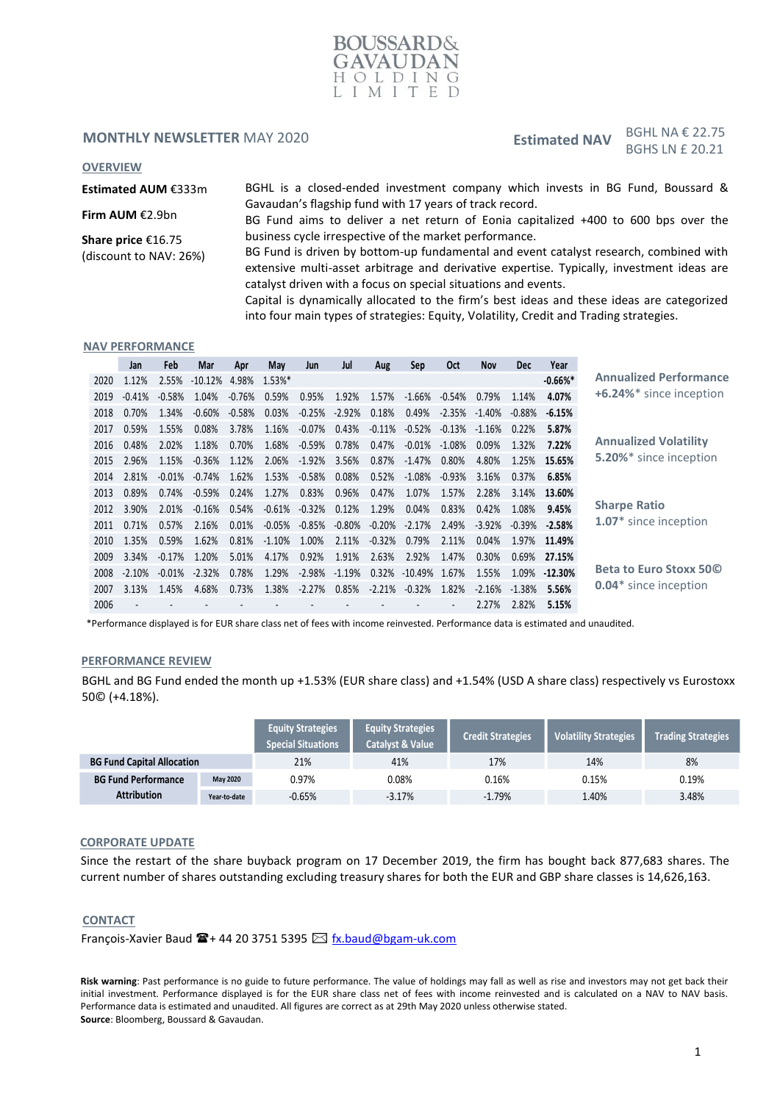

#### **MONTHLY NEWSLETTER MAY 2020**

# Estimated NAV  $BGHL$  NA  $\epsilon$  22.75 BGHS LN £ 20.21

#### **OVERVIEW**

**Estimated AUM** €333m

BGHL is a closed-ended investment company which invests in BG Fund, Boussard & Gavaudan's flagship fund with 17 years of track record.

**Firm AUM** €2.9bn

**Share price** €16.75 (discount to NAV: 26%) BG Fund aims to deliver a net return of Eonia capitalized +400 to 600 bps over the business cycle irrespective of the market performance.

BG Fund is driven by bottom-up fundamental and event catalyst research, combined with extensive multi-asset arbitrage and derivative expertise. Typically, investment ideas are catalyst driven with a focus on special situations and events.

Capital is dynamically allocated to the firm's best ideas and these ideas are categorized into four main types of strategies: Equity, Volatility, Credit and Trading strategies.

#### **NAV PERFORMANCE**

|      | Jan      | Feb      | Mar       | Apr      | May       | Jun      | Jul      | Aug      | Sep               | <b>Oct</b>                   | <b>Nov</b> | <b>Dec</b> | Year         |                                   |
|------|----------|----------|-----------|----------|-----------|----------|----------|----------|-------------------|------------------------------|------------|------------|--------------|-----------------------------------|
| 2020 | 1.12%    | 2.55%    | $-10.12%$ | 4.98%    | $1.53%$ * |          |          |          |                   |                              |            |            | $-0.66%$     | <b>Annualized Performance</b>     |
| 2019 | $-0.41%$ | $-0.58%$ | 1.04%     | $-0.76%$ | 0.59%     | 0.95%    | 1.92%    | 1.57%    | $-1.66%$          | $-0.54%$                     | 0.79%      | 1.14%      | 4.07%        | +6.24%* since inception           |
| 2018 | 0.70%    | 1.34%    | $-0.60%$  | $-0.58%$ | 0.03%     | $-0.25%$ | $-2.92%$ | 0.18%    | 0.49%             | $-2.35%$                     | $-1.40%$   | $-0.88\%$  | $-6.15%$     |                                   |
| 2017 | 0.59%    | 1.55%    | 0.08%     | 3.78%    | 1.16%     | $-0.07%$ | 0.43%    | $-0.11%$ | $-0.52%$          | $-0.13%$                     | $-1.16%$   | 0.22%      | 5.87%        |                                   |
| 2016 | 0.48%    | 2.02%    | 1.18%     | 0.70%    | 1.68%     | $-0.59%$ | 0.78%    | 0.47%    | $-0.01\%$         | $-1.08\%$                    | 0.09%      | 1.32%      | 7.22%        | <b>Annualized Volatility</b>      |
| 2015 | 2.96%    | 1.15%    | $-0.36%$  | 1.12%    | 2.06%     | $-1.92%$ | 3.56%    | 0.87%    | $-1.47%$          | 0.80%                        | 4.80%      | 1.25%      | 15.65%       | <b>5.20%</b> * since inception    |
| 2014 | 2.81%    | $-0.01%$ | $-0.74%$  | 1.62%    | 1.53%     | $-0.58%$ | 0.08%    | 0.52%    | $-1.08%$          | $-0.93%$                     | 3.16%      | 0.37%      | 6.85%        |                                   |
| 2013 | 0.89%    | 0.74%    | $-0.59\%$ | 0.24%    | 1.27%     | 0.83%    | 0.96%    | 0.47%    | 1.07%             | 1.57%                        | 2.28%      | 3.14%      | 13.60%       |                                   |
| 2012 | 3.90%    | 2.01%    | $-0.16%$  | 0.54%    | $-0.61%$  | $-0.32%$ | 0.12%    | 1.29%    | 0.04%             | 0.83%                        | 0.42%      | 1.08%      | 9.45%        | <b>Sharpe Ratio</b>               |
| 2011 | 0.71%    | 0.57%    | 2.16%     | 0.01%    | $-0.05%$  | $-0.85%$ | $-0.80%$ | $-0.20%$ | $-2.17%$          | 2.49%                        | $-3.92%$   | $-0.39\%$  | $-2.58\%$    | 1.07 <sup>*</sup> since inception |
| 2010 | 1.35%    | 0.59%    | 1.62%     | 0.81%    | $-1.10%$  | 1.00%    | 2.11%    | $-0.32%$ | 0.79%             | 2.11%                        | 0.04%      |            | 1.97% 11.49% |                                   |
| 2009 | 3.34%    | $-0.17%$ | 1.20%     | 5.01%    | 4.17%     | 0.92%    | 1.91%    | 2.63%    | 2.92%             | 1.47%                        | 0.30%      | 0.69%      | 27.15%       |                                   |
| 2008 | $-2.10%$ | $-0.01%$ | $-2.32%$  | 0.78%    | 1.29%     | $-2.98%$ | $-1.19%$ |          | $0.32\% -10.49\%$ | 1.67%                        | 1.55%      | 1.09%      | $-12.30\%$   | Beta to Euro Stoxx 500            |
| 2007 | 3.13%    | 1.45%    | 4.68%     | 0.73%    | 1.38%     | $-2.27%$ | 0.85%    |          | $-2.21\% -0.32\%$ | 1.82%                        | $-2.16%$   | -1.38%     | 5.56%        | <b>0.04*</b> since inception      |
| 2006 |          |          |           |          |           |          |          |          |                   | $\qquad \qquad \blacksquare$ | 2.27%      | 2.82%      | 5.15%        |                                   |

\*Performance displayed is for EUR share class net of fees with income reinvested. Performance data is estimated and unaudited.

#### **PERFORMANCE REVIEW**

BGHL and BG Fund ended the month up +1.53% (EUR share class) and +1.54% (USD A share class) respectively vs Eurostoxx 50© (+4.18%).

|                                        |              | <b>Equity Strategies</b><br><b>Special Situations</b> | <b>Equity Strategies</b><br>Catalyst & Value | <b>Credit Strategies</b> | Volatility Strategies | <b>Trading Strategies</b> |
|----------------------------------------|--------------|-------------------------------------------------------|----------------------------------------------|--------------------------|-----------------------|---------------------------|
| <b>BG Fund Capital Allocation</b>      |              | 21%                                                   | 41%                                          | 17%                      | 14%                   | 8%                        |
| <b>BG Fund Performance</b><br>May 2020 |              | 0.97%                                                 | $0.08\%$                                     | 0.16%                    | 0.15%                 | 0.19%                     |
| <b>Attribution</b>                     | Year-to-date | $-0.65%$                                              | $-3.17%$                                     | $-1.79%$                 | 1.40%                 | 3.48%                     |

#### **CORPORATE UPDATE**

Since the restart of the share buyback program on 17 December 2019, the firm has bought back 877,683 shares. The current number of shares outstanding excluding treasury shares for both the EUR and GBP share classes is 14,626,163.

#### **CONTACT**

François-Xavier Baud  $\mathbf{E}$  + 44 20 3751 5395  $\boxtimes$  [fx.baud@bgam-uk.com](mailto:fx.baud@bgam-uk.com)

**Risk warning**: Past performance is no guide to future performance. The value of holdings may fall as well as rise and investors may not get back their initial investment. Performance displayed is for the EUR share class net of fees with income reinvested and is calculated on a NAV to NAV basis. Performance data is estimated and unaudited. All figures are correct as at 29th May 2020 unless otherwise stated. **Source**: Bloomberg, Boussard & Gavaudan.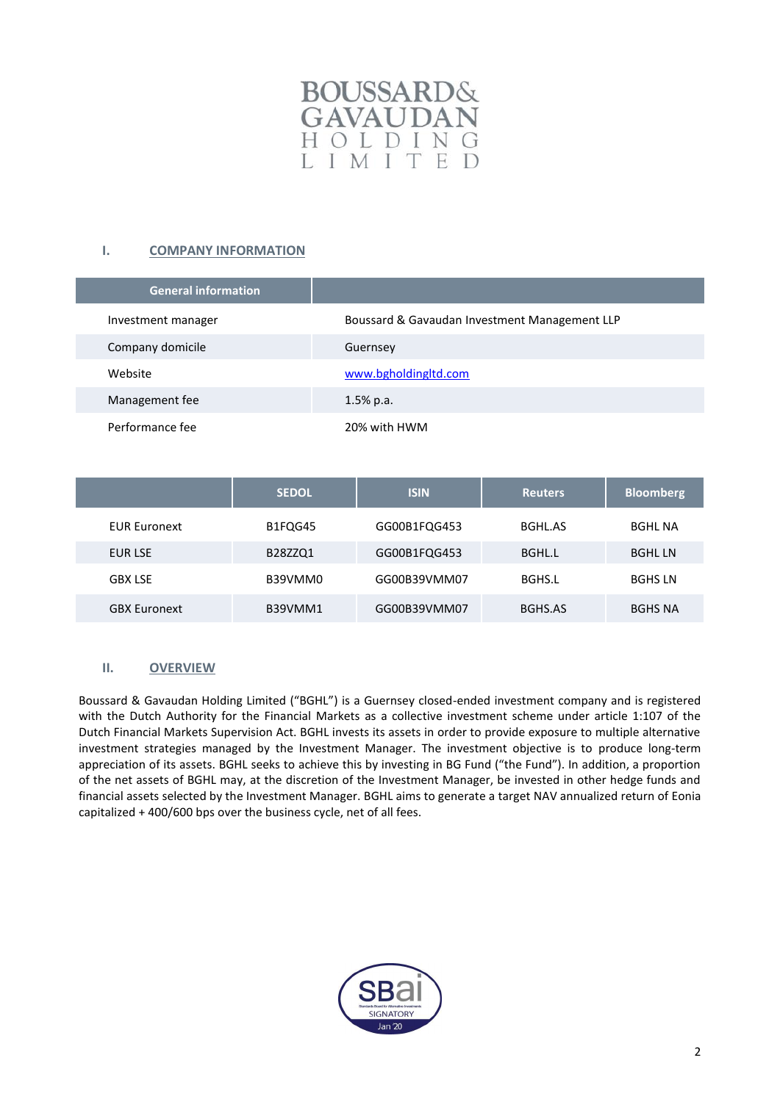

# **I. COMPANY INFORMATION**

| <b>General information</b> |                                               |
|----------------------------|-----------------------------------------------|
| Investment manager         | Boussard & Gavaudan Investment Management LLP |
| Company domicile           | Guernsey                                      |
| Website                    | www.bgholdingltd.com                          |
| Management fee             | $1.5\%$ p.a.                                  |
| Performance fee            | 20% with HWM                                  |

|                     | <b>SEDOL</b> | <b>ISIN</b>  | <b>Reuters</b> | <b>Bloomberg</b> |
|---------------------|--------------|--------------|----------------|------------------|
| <b>EUR Euronext</b> | B1FQG45      | GG00B1FQG453 | BGHL.AS        | <b>BGHL NA</b>   |
| EUR LSE             | B28ZZQ1      | GG00B1FQG453 | BGHL.L         | <b>BGHL LN</b>   |
| <b>GBX LSE</b>      | B39VMM0      | GG00B39VMM07 | BGHS.L         | <b>BGHS LN</b>   |
| <b>GBX Euronext</b> | B39VMM1      | GG00B39VMM07 | BGHS.AS        | <b>BGHS NA</b>   |

## **II. OVERVIEW**

Boussard & Gavaudan Holding Limited ("BGHL") is a Guernsey closed-ended investment company and is registered with the Dutch Authority for the Financial Markets as a collective investment scheme under article 1:107 of the Dutch Financial Markets Supervision Act. BGHL invests its assets in order to provide exposure to multiple alternative investment strategies managed by the Investment Manager. The investment objective is to produce long-term appreciation of its assets. BGHL seeks to achieve this by investing in BG Fund ("the Fund"). In addition, a proportion of the net assets of BGHL may, at the discretion of the Investment Manager, be invested in other hedge funds and financial assets selected by the Investment Manager. BGHL aims to generate a target NAV annualized return of Eonia capitalized + 400/600 bps over the business cycle, net of all fees.

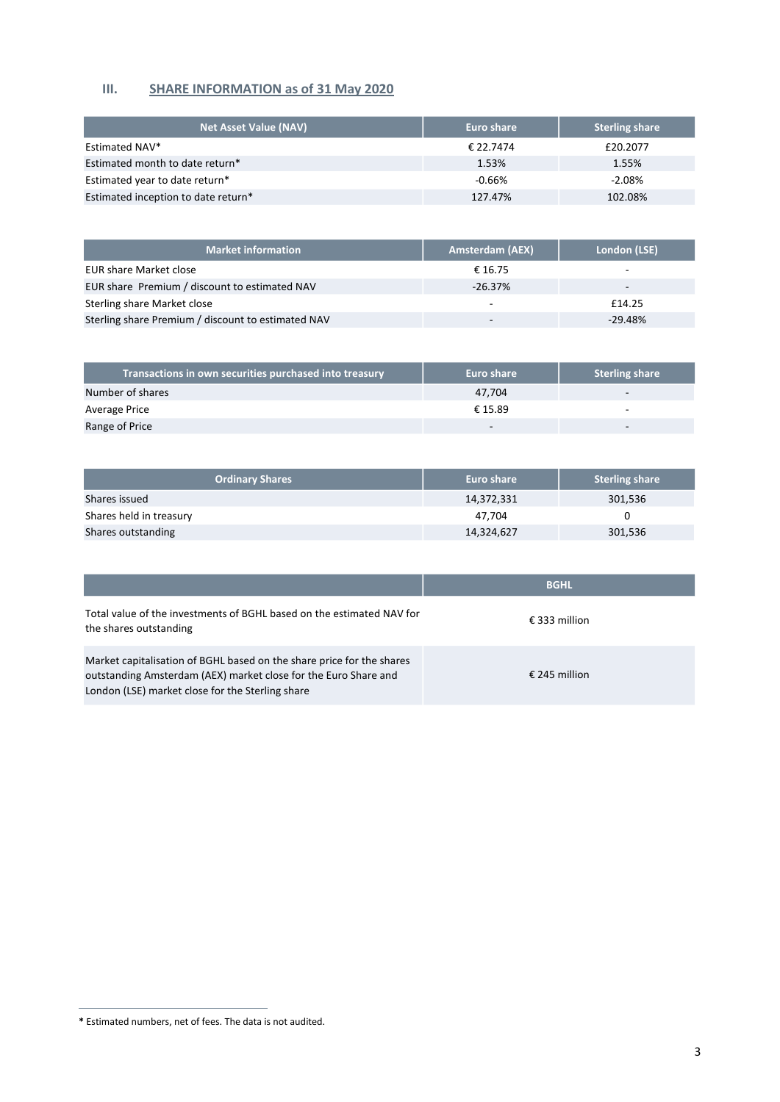# **III. SHARE INFORMATION as of 31 May 2020**

| <b>Net Asset Value (NAV)</b>        | Euro share | <b>Sterling share</b> |
|-------------------------------------|------------|-----------------------|
| Estimated NAV*                      | € 22.7474  | £20,2077              |
| Estimated month to date return*     | 1.53%      | 1.55%                 |
| Estimated year to date return*      | $-0.66%$   | $-2.08%$              |
| Estimated inception to date return* | 127.47%    | 102.08%               |

| <b>Market information</b>                          | <b>Amsterdam (AEX)</b> | London (LSE)             |
|----------------------------------------------------|------------------------|--------------------------|
| <b>EUR share Market close</b>                      | € 16.75                | $\overline{\phantom{a}}$ |
| EUR share Premium / discount to estimated NAV      | $-26.37%$              | -                        |
| Sterling share Market close                        |                        | £14.25                   |
| Sterling share Premium / discount to estimated NAV | -                      | $-29.48%$                |

| Transactions in own securities purchased into treasury | <b>Euro share</b> | <b>Sterling share</b>    |
|--------------------------------------------------------|-------------------|--------------------------|
| Number of shares                                       | 47.704            | $\overline{\phantom{a}}$ |
| Average Price                                          | € 15.89           |                          |
| Range of Price                                         |                   | -                        |

| <b>Ordinary Shares</b>  | Euro share | <b>Sterling share</b> |
|-------------------------|------------|-----------------------|
| Shares issued           | 14,372,331 | 301,536               |
| Shares held in treasury | 47.704     |                       |
| Shares outstanding      | 14,324,627 | 301,536               |

|                                                                                                                                                                                              | <b>BGHL</b>   |
|----------------------------------------------------------------------------------------------------------------------------------------------------------------------------------------------|---------------|
| Total value of the investments of BGHL based on the estimated NAV for<br>the shares outstanding                                                                                              | € 333 million |
| Market capitalisation of BGHL based on the share price for the shares<br>outstanding Amsterdam (AEX) market close for the Euro Share and<br>London (LSE) market close for the Sterling share | € 245 million |

**<sup>\*</sup>** Estimated numbers, net of fees. The data is not audited.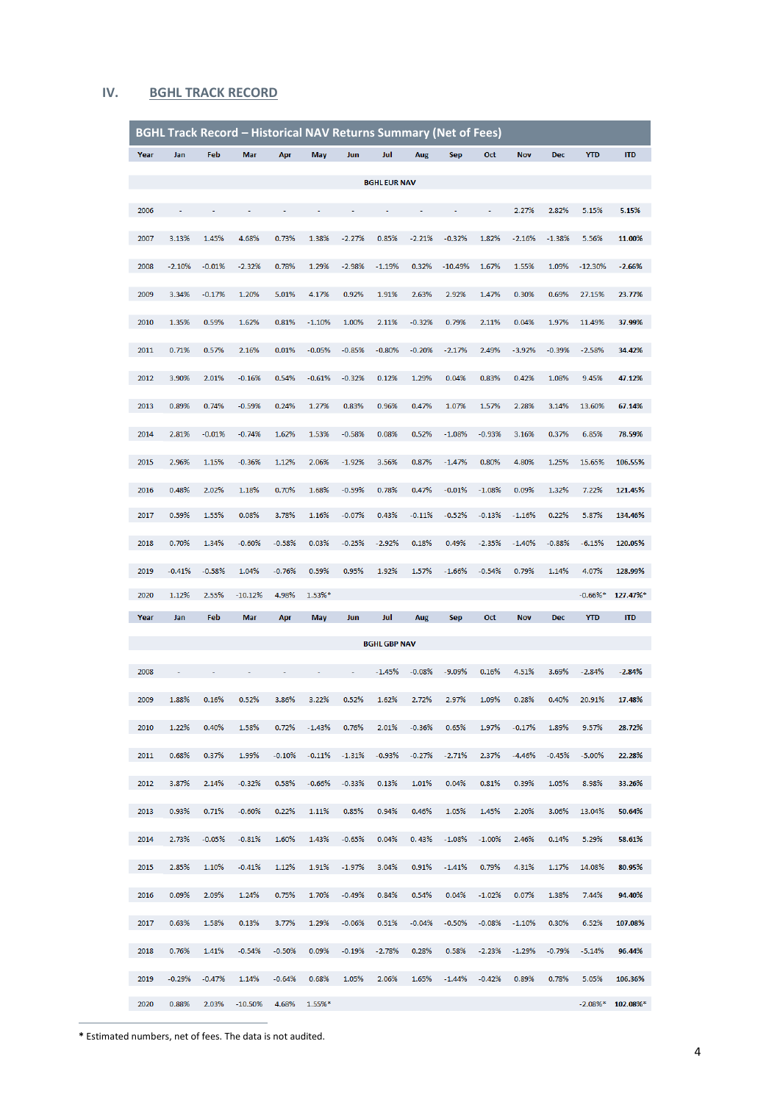### **IV. BGHL TRACK RECORD**

|      |          |          |            |          |          | <b>BGHL Track Record - Historical NAV Returns Summary (Net of Fees)</b> |                     |          |            |          |            |            |            |            |
|------|----------|----------|------------|----------|----------|-------------------------------------------------------------------------|---------------------|----------|------------|----------|------------|------------|------------|------------|
| Year | Jan      | Feb      | Mar        | Apr      | May      | Jun                                                                     | Jul                 | Aug      | <b>Sep</b> | Oct      | <b>Nov</b> | <b>Dec</b> | <b>YTD</b> | <b>ITD</b> |
|      |          |          |            |          |          |                                                                         | <b>BGHL EUR NAV</b> |          |            |          |            |            |            |            |
|      |          |          |            | ÷,       |          | ä,                                                                      | ä,                  | ä,       |            | ÷.       |            |            |            |            |
| 2006 |          |          |            |          |          |                                                                         |                     |          |            |          | 2.27%      | 2.82%      | 5.15%      | 5.15%      |
| 2007 | 3.13%    | 1.45%    | 4.68%      | 0.73%    | 1.38%    | $-2.27%$                                                                | 0.85%               | $-2.21%$ | $-0.32%$   | 1.82%    | $-2.16%$   | $-1.38%$   | 5.56%      | 11.00%     |
| 2008 | $-2.10%$ | $-0.01%$ | $-2.32%$   | 0.78%    | 1.29%    | $-2.98%$                                                                | $-1.19%$            | 0.32%    | $-10.49%$  | 1.67%    | 1.55%      | 1.09%      | $-12.30%$  | $-2.66%$   |
| 2009 | 3.34%    | $-0.17%$ | 1.20%      | 5.01%    | 4.17%    | 0.92%                                                                   | 1.91%               | 2.63%    | 2.92%      | 1.47%    | 0.30%      | 0.69%      | 27.15%     | 23.77%     |
|      |          |          |            |          |          |                                                                         |                     |          |            |          |            |            |            |            |
| 2010 | 1.35%    | 0.59%    | 1.62%      | 0.81%    | $-1.10%$ | 1.00%                                                                   | 2.11%               | $-0.32%$ | 0.79%      | 2.11%    | 0.04%      | 1.97%      | 11.49%     | 37.99%     |
| 2011 | 0.71%    | 0.57%    | 2.16%      | 0.01%    | $-0.05%$ | $-0.85%$                                                                | $-0.80%$            | $-0.20%$ | $-2.17%$   | 2.49%    | $-3.92%$   | $-0.39%$   | $-2.58%$   | 34.42%     |
| 2012 | 3.90%    | 2.01%    | $-0.16%$   | 0.54%    | $-0.61%$ | $-0.32%$                                                                | 0.12%               | 1.29%    | 0.04%      | 0.83%    | 0.42%      | 1.08%      | 9.45%      | 47.12%     |
|      |          |          |            |          |          |                                                                         |                     |          |            |          |            |            |            |            |
| 2013 | 0.89%    | 0.74%    | $-0.59%$   | 0.24%    | 1.27%    | 0.83%                                                                   | 0.96%               | 0.47%    | 1.07%      | 1.57%    | 2.28%      | 3.14%      | 13.60%     | 67.14%     |
| 2014 | 2.81%    | $-0.01%$ | $-0.74%$   | 1.62%    | 1.53%    | $-0.58%$                                                                | 0.08%               | 0.52%    | $-1.08%$   | $-0.93%$ | 3.16%      | 0.37%      | 6.85%      | 78.59%     |
| 2015 | 2.96%    | 1.15%    | $-0.36%$   | 1.12%    | 2.06%    | $-1.92%$                                                                | 3.56%               | 0.87%    | $-1.47%$   | 0.80%    | 4.80%      | 1.25%      | 15.65%     | 106.55%    |
|      |          |          |            |          |          |                                                                         |                     |          |            |          |            |            |            |            |
| 2016 | 0.48%    | 2.02%    | 1.18%      | 0.70%    | 1.68%    | $-0.59%$                                                                | 0.78%               | 0.47%    | $-0.01%$   | $-1.08%$ | 0.09%      | 1.32%      | 7.22%      | 121.45%    |
| 2017 | 0.59%    | 1.55%    | 0.08%      | 3.78%    | 1.16%    | $-0.07%$                                                                | 0.43%               | $-0.11%$ | $-0.52%$   | $-0.13%$ | $-1.16%$   | 0.22%      | 5.87%      | 134.46%    |
| 2018 | 0.70%    | 1.34%    | $-0.60%$   | $-0.58%$ | 0.03%    | $-0.25%$                                                                | $-2.92%$            | 0.18%    | 0.49%      | $-2.35%$ | $-1.40%$   | $-0.88%$   | $-6.15%$   | 120.05%    |
| 2019 | $-0.41%$ | $-0.58%$ | 1.04%      | $-0.76%$ | 0.59%    | 0.95%                                                                   | 1.92%               | 1.57%    | $-1.66%$   | $-0.54%$ | 0.79%      | 1.14%      | 4.07%      | 128.99%    |
| 2020 | 1.12%    | 2.55%    | $-10.12%$  | 4.98%    | 1.53%*   |                                                                         |                     |          |            |          |            |            | $-0.66%$ * | 127.47%*   |
| Year | Jan      | Feb      | <b>Mar</b> | Apr      | May      | Jun                                                                     | Jul                 | Aug      | <b>Sep</b> | Oct      | <b>Nov</b> | <b>Dec</b> | <b>YTD</b> | <b>ITD</b> |
|      |          |          |            |          |          |                                                                         |                     |          |            |          |            |            |            |            |
|      |          |          |            |          |          |                                                                         | <b>BGHL GBP NAV</b> |          |            |          |            |            |            |            |
| 2008 |          |          |            |          |          | ä,                                                                      | $-1.45%$            | $-0.08%$ | $-9.09%$   | 0.16%    | 4.51%      | 3.69%      | $-2.84%$   | $-2.84%$   |
| 2009 | 1.88%    | 0.16%    | 0.52%      | 3.86%    | 3.22%    | 0.52%                                                                   | 1.62%               | 2.72%    | 2.97%      | 1.09%    | 0.28%      | 0.40%      | 20.91%     | 17.48%     |
| 2010 | 1.22%    | 0.40%    | 1.58%      | 0.72%    | $-1.43%$ | 0.76%                                                                   | 2.01%               | $-0.36%$ | 0.65%      | 1.97%    | $-0.17%$   | 1.89%      | 9.57%      | 28.72%     |
|      |          |          |            |          |          |                                                                         |                     |          |            |          |            |            |            |            |
| 2011 | 0.68%    | 0.37%    | 1.99%      | $-0.10%$ | $-0.11%$ | $-1.31%$                                                                | $-0.93%$            | $-0.27%$ | $-2.71%$   | 2.37%    | $-4.46%$   | $-0.45%$   | $-5.00%$   | 22.28%     |
| 2012 | 3.87%    | 2.14%    | $-0.32%$   | 0.58%    | $-0.66%$ | $-0.33%$                                                                | 0.13%               | 1.01%    | 0.04%      | 0.81%    | 0.39%      | 1.05%      | 8.98%      | 33.26%     |
| 2013 | 0.93%    | 0.71%    | $-0.60%$   | 0.22%    | 1.11%    | 0.85%                                                                   | 0.94%               | 0.46%    | 1.05%      | 1.45%    | 2.20%      | 3.06%      | 13.04%     | 50.64%     |
|      |          |          |            |          |          |                                                                         |                     |          |            |          |            |            |            |            |
| 2014 | 2.73%    | $-0.05%$ | $-0.81%$   | 1.60%    | 1.43%    | $-0.65%$                                                                | 0.04%               | 0.43%    | $-1.08%$   | $-1.00%$ | 2.46%      | 0.14%      | 5.29%      | 58.61%     |
| 2015 | 2.85%    | 1.10%    | $-0.41%$   | 1.12%    | 1.91%    | $-1.97%$                                                                | 3.04%               | 0.91%    | $-1.41%$   | 0.79%    | 4.31%      | 1.17%      | 14.08%     | 80.95%     |
| 2016 | 0.09%    | 2.09%    | 1.24%      | 0.75%    | 1.70%    | $-0.49%$                                                                | 0.84%               | 0.54%    | 0.04%      | $-1.02%$ | 0.07%      | 1.38%      | 7.44%      | 94.40%     |
| 2017 | 0.63%    | 1.58%    | 0.13%      | 3.77%    | 1.29%    | $-0.06%$                                                                | 0.51%               | $-0.04%$ | $-0.50%$   | $-0.08%$ | $-1.10\%$  | 0.30%      | 6.52%      | 107.08%    |
|      |          |          |            |          |          |                                                                         |                     |          |            |          |            |            |            |            |
| 2018 | 0.76%    | 1.41%    | $-0.54%$   | $-0.50%$ | 0.09%    | $-0.19%$                                                                | $-2.78%$            | 0.28%    | 0.58%      | $-2.23%$ | $-1.29%$   | $-0.79%$   | $-5.14%$   | 96.44%     |
| 2019 | $-0.29%$ | $-0.47%$ | 1.14%      | $-0.64%$ | 0.68%    | 1.05%                                                                   | 2.06%               | 1.65%    | $-1.44%$   | $-0.42%$ | 0.89%      | 0.78%      | 5.05%      | 106.36%    |
| 2020 | 0.88%    | 2.03%    | $-10.50%$  | 4.68%    | 1.55%*   |                                                                         |                     |          |            |          |            |            | $-2.08%$ * | 102.08%*   |

**\*** Estimated numbers, net of fees. The data is not audited.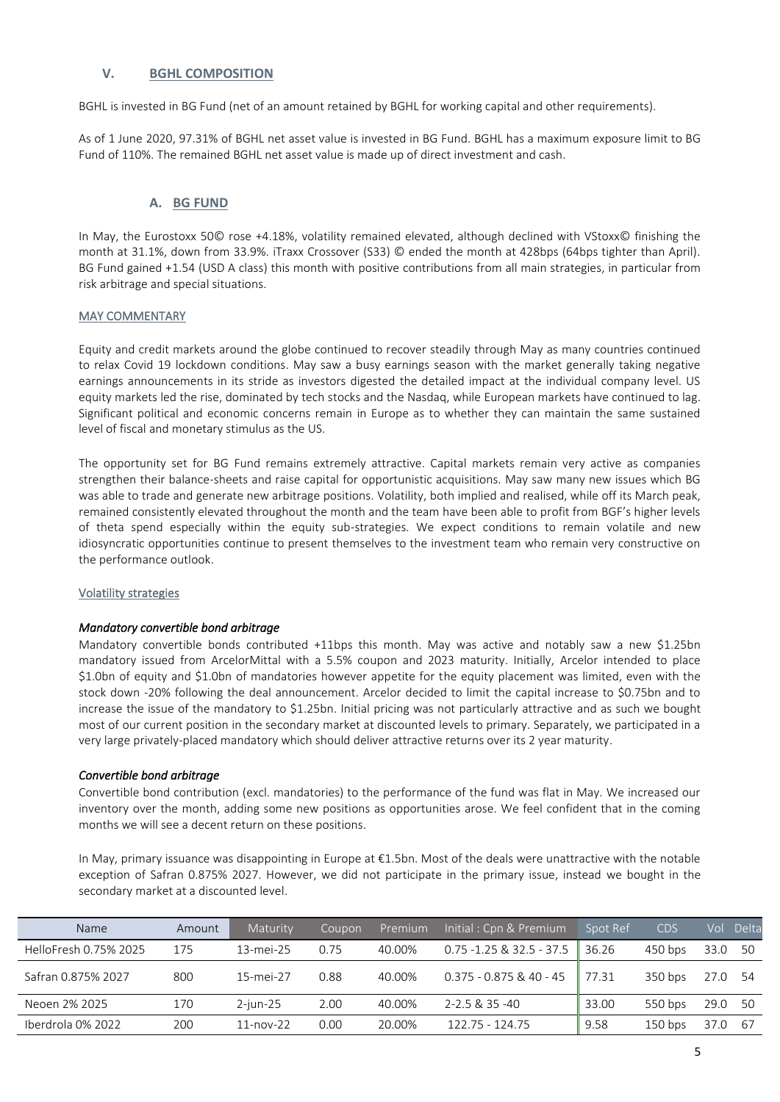### **V. BGHL COMPOSITION**

BGHL is invested in BG Fund (net of an amount retained by BGHL for working capital and other requirements).

As of 1 June 2020, 97.31% of BGHL net asset value is invested in BG Fund. BGHL has a maximum exposure limit to BG Fund of 110%. The remained BGHL net asset value is made up of direct investment and cash.

### **A. BG FUND**

In May, the Eurostoxx 50© rose +4.18%, volatility remained elevated, although declined with VStoxx© finishing the month at 31.1%, down from 33.9%. iTraxx Crossover (S33) © ended the month at 428bps (64bps tighter than April). BG Fund gained +1.54 (USD A class) this month with positive contributions from all main strategies, in particular from risk arbitrage and special situations.

### MAY COMMENTARY

Equity and credit markets around the globe continued to recover steadily through May as many countries continued to relax Covid 19 lockdown conditions. May saw a busy earnings season with the market generally taking negative earnings announcements in its stride as investors digested the detailed impact at the individual company level. US equity markets led the rise, dominated by tech stocks and the Nasdaq, while European markets have continued to lag. Significant political and economic concerns remain in Europe as to whether they can maintain the same sustained level of fiscal and monetary stimulus as the US.

The opportunity set for BG Fund remains extremely attractive. Capital markets remain very active as companies strengthen their balance-sheets and raise capital for opportunistic acquisitions. May saw many new issues which BG was able to trade and generate new arbitrage positions. Volatility, both implied and realised, while off its March peak, remained consistently elevated throughout the month and the team have been able to profit from BGF's higher levels of theta spend especially within the equity sub-strategies. We expect conditions to remain volatile and new idiosyncratic opportunities continue to present themselves to the investment team who remain very constructive on the performance outlook.

#### Volatility strategies

### *Mandatory convertible bond arbitrage*

Mandatory convertible bonds contributed +11bps this month. May was active and notably saw a new \$1.25bn mandatory issued from ArcelorMittal with a 5.5% coupon and 2023 maturity. Initially, Arcelor intended to place \$1.0bn of equity and \$1.0bn of mandatories however appetite for the equity placement was limited, even with the stock down -20% following the deal announcement. Arcelor decided to limit the capital increase to \$0.75bn and to increase the issue of the mandatory to \$1.25bn. Initial pricing was not particularly attractive and as such we bought most of our current position in the secondary market at discounted levels to primary. Separately, we participated in a very large privately-placed mandatory which should deliver attractive returns over its 2 year maturity.

#### *Convertible bond arbitrage*

Convertible bond contribution (excl. mandatories) to the performance of the fund was flat in May. We increased our inventory over the month, adding some new positions as opportunities arose. We feel confident that in the coming months we will see a decent return on these positions.

In May, primary issuance was disappointing in Europe at €1.5bn. Most of the deals were unattractive with the notable exception of Safran 0.875% 2027. However, we did not participate in the primary issue, instead we bought in the secondary market at a discounted level.

| Name                  | Amount | Maturity     | Coupon | Premium | Initial: Cpn & Premium      | Spot Ref          | <b>CDS</b> | Vol  | <b>Delta</b> |
|-----------------------|--------|--------------|--------|---------|-----------------------------|-------------------|------------|------|--------------|
| HelloFresh 0.75% 2025 | 175    | 13-mei-25    | 0.75   | 40.00%  | $0.75 - 1.25 & 32.5 - 37.5$ | 36.26             | 450 bps    | 33.0 | 50           |
| Safran 0.875% 2027    | 800    | 15-mei-27    | 0.88   | 40.00%  | 0.375 - 0.875 & 40 - 45     | $\parallel$ 77.31 | 350 bps    | 27.0 | -54          |
| Neoen 2% 2025         | 170    | $2$ -jun-25  | 2.00   | 40.00%  | 2-2.5 & 35 -40              | 33.00             | 550 bps    | 29.0 | -50          |
| Iberdrola 0% 2022     | 200    | $11$ -nov-22 | 0.00   | 20.00%  | 122.75 - 124.75             | 9.58              | $150$ bps  | 37.0 | -67          |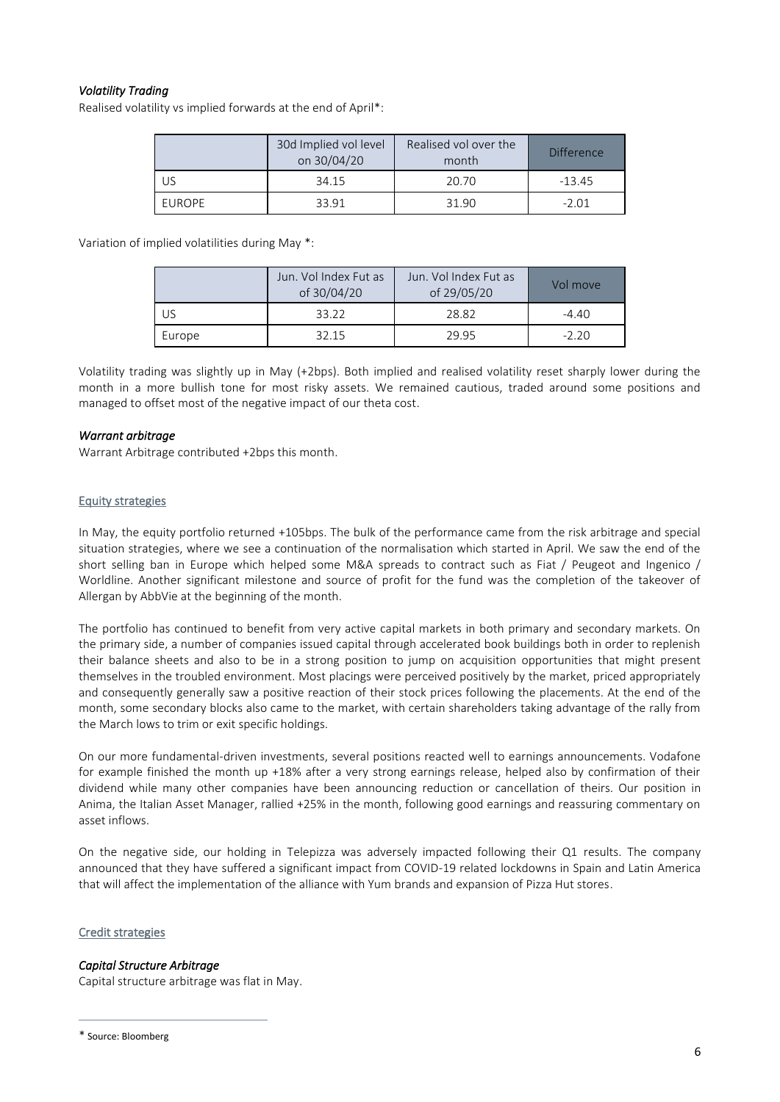## *Volatility Trading*

Realised volatility vs implied forwards at the end of April\*:

|        | 30d Implied vol level<br>on 30/04/20 | Realised vol over the<br>month | Difference |  |
|--------|--------------------------------------|--------------------------------|------------|--|
| US     | 34.15                                | 20.70                          | -13.45     |  |
| EUROPE | 33.91                                | 31.90                          | $-2.01$    |  |

Variation of implied volatilities during May \*:

|        | Jun. Vol Index Fut as<br>of 30/04/20 | Jun. Vol Index Fut as<br>of 29/05/20 | Vol move |
|--------|--------------------------------------|--------------------------------------|----------|
|        | 33.22                                | 28.82                                | $-4.40$  |
| Europe | 32.15                                | 29.95                                | $-2.20$  |

Volatility trading was slightly up in May (+2bps). Both implied and realised volatility reset sharply lower during the month in a more bullish tone for most risky assets. We remained cautious, traded around some positions and managed to offset most of the negative impact of our theta cost.

### *Warrant arbitrage*

Warrant Arbitrage contributed +2bps this month.

### Equity strategies

In May, the equity portfolio returned +105bps. The bulk of the performance came from the risk arbitrage and special situation strategies, where we see a continuation of the normalisation which started in April. We saw the end of the short selling ban in Europe which helped some M&A spreads to contract such as Fiat / Peugeot and Ingenico / Worldline. Another significant milestone and source of profit for the fund was the completion of the takeover of Allergan by AbbVie at the beginning of the month.

The portfolio has continued to benefit from very active capital markets in both primary and secondary markets. On the primary side, a number of companies issued capital through accelerated book buildings both in order to replenish their balance sheets and also to be in a strong position to jump on acquisition opportunities that might present themselves in the troubled environment. Most placings were perceived positively by the market, priced appropriately and consequently generally saw a positive reaction of their stock prices following the placements. At the end of the month, some secondary blocks also came to the market, with certain shareholders taking advantage of the rally from the March lows to trim or exit specific holdings.

On our more fundamental-driven investments, several positions reacted well to earnings announcements. Vodafone for example finished the month up +18% after a very strong earnings release, helped also by confirmation of their dividend while many other companies have been announcing reduction or cancellation of theirs. Our position in Anima, the Italian Asset Manager, rallied +25% in the month, following good earnings and reassuring commentary on asset inflows.

On the negative side, our holding in Telepizza was adversely impacted following their Q1 results. The company announced that they have suffered a significant impact from COVID-19 related lockdowns in Spain and Latin America that will affect the implementation of the alliance with Yum brands and expansion of Pizza Hut stores.

### Credit strategies

## *Capital Structure Arbitrage*

Capital structure arbitrage was flat in May.

\* Source: Bloomberg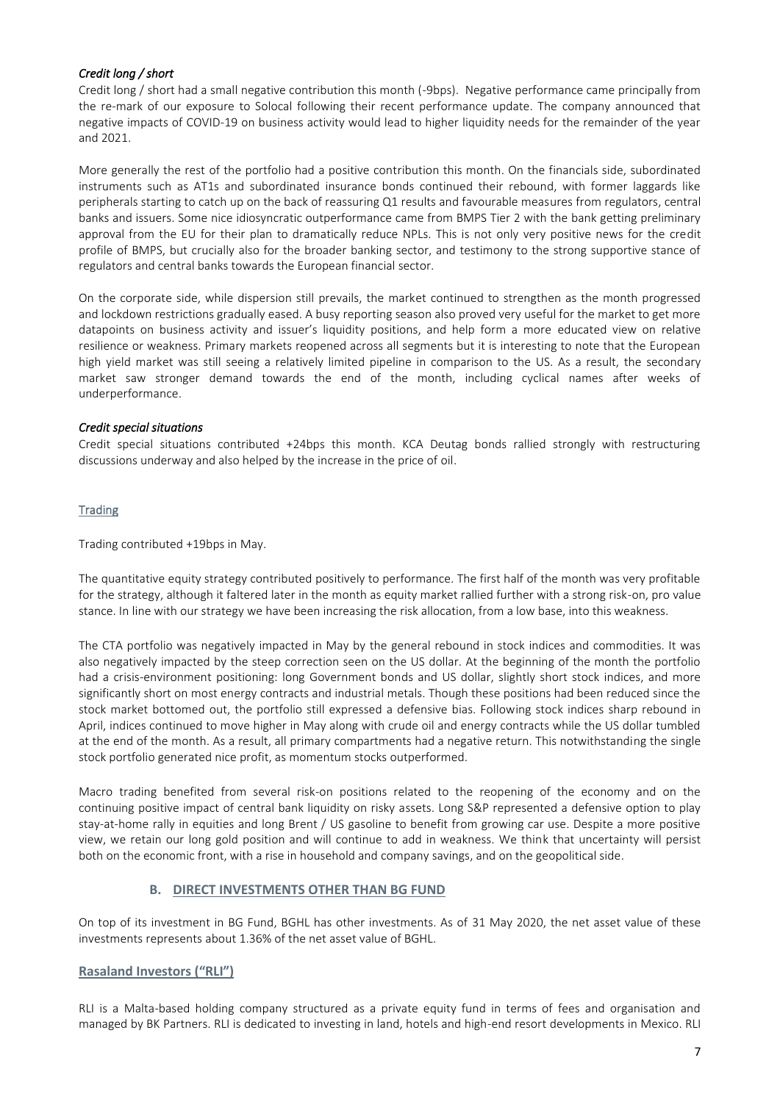### *Credit long / short*

Credit long / short had a small negative contribution this month (-9bps). Negative performance came principally from the re-mark of our exposure to Solocal following their recent performance update. The company announced that negative impacts of COVID-19 on business activity would lead to higher liquidity needs for the remainder of the year and 2021.

More generally the rest of the portfolio had a positive contribution this month. On the financials side, subordinated instruments such as AT1s and subordinated insurance bonds continued their rebound, with former laggards like peripherals starting to catch up on the back of reassuring Q1 results and favourable measures from regulators, central banks and issuers. Some nice idiosyncratic outperformance came from BMPS Tier 2 with the bank getting preliminary approval from the EU for their plan to dramatically reduce NPLs. This is not only very positive news for the credit profile of BMPS, but crucially also for the broader banking sector, and testimony to the strong supportive stance of regulators and central banks towards the European financial sector.

On the corporate side, while dispersion still prevails, the market continued to strengthen as the month progressed and lockdown restrictions gradually eased. A busy reporting season also proved very useful for the market to get more datapoints on business activity and issuer's liquidity positions, and help form a more educated view on relative resilience or weakness. Primary markets reopened across all segments but it is interesting to note that the European high yield market was still seeing a relatively limited pipeline in comparison to the US. As a result, the secondary market saw stronger demand towards the end of the month, including cyclical names after weeks of underperformance.

### *Credit special situations*

Credit special situations contributed +24bps this month. KCA Deutag bonds rallied strongly with restructuring discussions underway and also helped by the increase in the price of oil.

### **Trading**

Trading contributed +19bps in May.

The quantitative equity strategy contributed positively to performance. The first half of the month was very profitable for the strategy, although it faltered later in the month as equity market rallied further with a strong risk-on, pro value stance. In line with our strategy we have been increasing the risk allocation, from a low base, into this weakness.

The CTA portfolio was negatively impacted in May by the general rebound in stock indices and commodities. It was also negatively impacted by the steep correction seen on the US dollar. At the beginning of the month the portfolio had a crisis-environment positioning: long Government bonds and US dollar, slightly short stock indices, and more significantly short on most energy contracts and industrial metals. Though these positions had been reduced since the stock market bottomed out, the portfolio still expressed a defensive bias. Following stock indices sharp rebound in April, indices continued to move higher in May along with crude oil and energy contracts while the US dollar tumbled at the end of the month. As a result, all primary compartments had a negative return. This notwithstanding the single stock portfolio generated nice profit, as momentum stocks outperformed.

Macro trading benefited from several risk-on positions related to the reopening of the economy and on the continuing positive impact of central bank liquidity on risky assets. Long S&P represented a defensive option to play stay-at-home rally in equities and long Brent / US gasoline to benefit from growing car use. Despite a more positive view, we retain our long gold position and will continue to add in weakness. We think that uncertainty will persist both on the economic front, with a rise in household and company savings, and on the geopolitical side.

## **B. DIRECT INVESTMENTS OTHER THAN BG FUND**

On top of its investment in BG Fund, BGHL has other investments. As of 31 May 2020, the net asset value of these investments represents about 1.36% of the net asset value of BGHL.

### **Rasaland Investors ("RLI")**

RLI is a Malta-based holding company structured as a private equity fund in terms of fees and organisation and managed by BK Partners. RLI is dedicated to investing in land, hotels and high-end resort developments in Mexico. RLI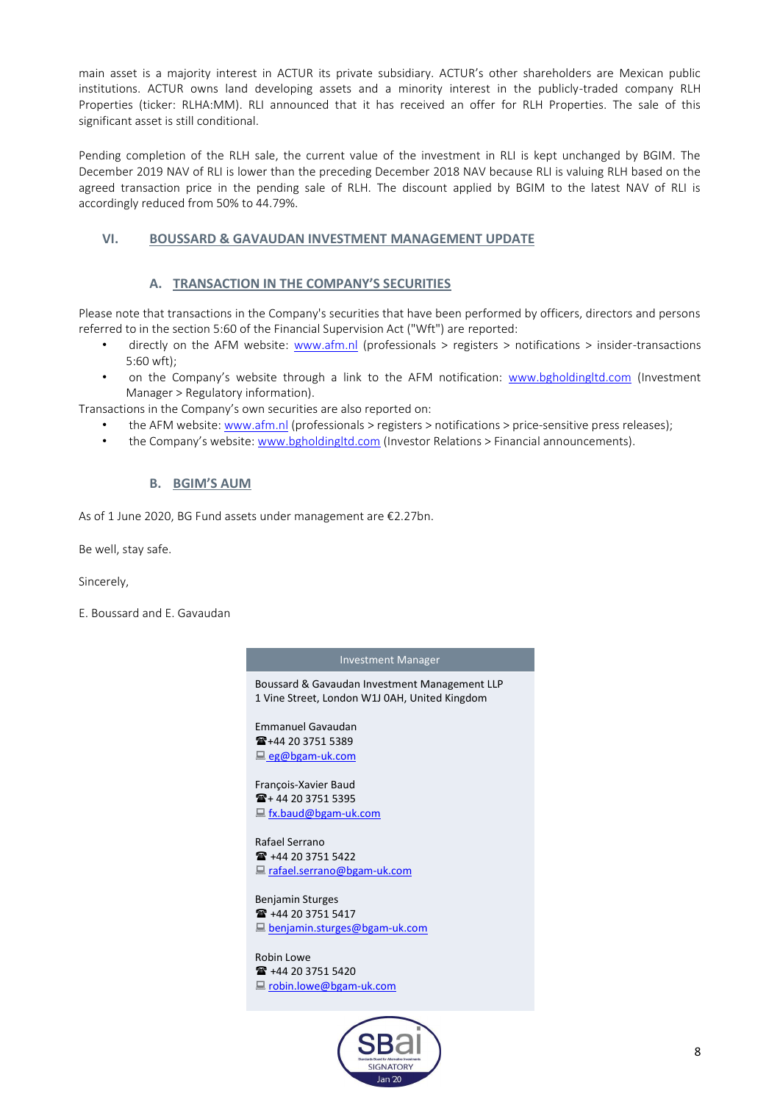main asset is a majority interest in ACTUR its private subsidiary. ACTUR's other shareholders are Mexican public institutions. ACTUR owns land developing assets and a minority interest in the publicly-traded company RLH Properties (ticker: RLHA:MM). RLI announced that it has received an offer for RLH Properties. The sale of this significant asset is still conditional.

Pending completion of the RLH sale, the current value of the investment in RLI is kept unchanged by BGIM. The December 2019 NAV of RLI is lower than the preceding December 2018 NAV because RLI is valuing RLH based on the agreed transaction price in the pending sale of RLH. The discount applied by BGIM to the latest NAV of RLI is accordingly reduced from 50% to 44.79%.

# **VI. BOUSSARD & GAVAUDAN INVESTMENT MANAGEMENT UPDATE**

## **A. TRANSACTION IN THE COMPANY'S SECURITIES**

Please note that transactions in the Company's securities that have been performed by officers, directors and persons referred to in the section 5:60 of the Financial Supervision Act ("Wft") are reported:

- directly on the AFM website: [www.afm.nl](http://www.afm.nl/) (professionals > registers > notifications > insider-transactions 5:60 wft);
- on the Company's website through a link to the AFM notification: [www.bgholdingltd.com](http://www.bgholdingltd.com/) (Investment Manager > Regulatory information).

Transactions in the Company's own securities are also reported on:

- the AFM website: [www.afm.nl](http://www.afm.nl/) (professionals > registers > notifications > price-sensitive press releases);
- the Company's website: [www.bgholdingltd.com](http://www.bgholdingltd.com/) (Investor Relations > Financial announcements).

## **B. BGIM'S AUM**

As of 1 June 2020, BG Fund assets under management are €2.27bn.

Be well, stay safe.

Sincerely,

E. Boussard and E. Gavaudan

#### Investment Manager

Boussard & Gavaudan Investment Management LLP 1 Vine Street, London W1J 0AH, United Kingdom

Emmanuel Gavaudan  $\mathbf{\widehat{2}}$ +44 20 3751 5389 [eg@bgam-uk.com](mailto:troubadour@bgam-hk.com)

François-Xavier Baud  $\mathbf{E} + 44$  20 3751 5395 [fx.baud@bgam-uk.com](mailto:fx.baud@bgam-uk.com)

Rafael Serrano +44 20 3751 5422 ■ rafael.serrano@bgam-uk.com

Benjamin Sturges ■ +44 20 3751 5417 benjamin.sturges@bgam-uk.com

Robin Lowe +44 20 3751 5420 ■ robin.lowe@bgam-uk.com

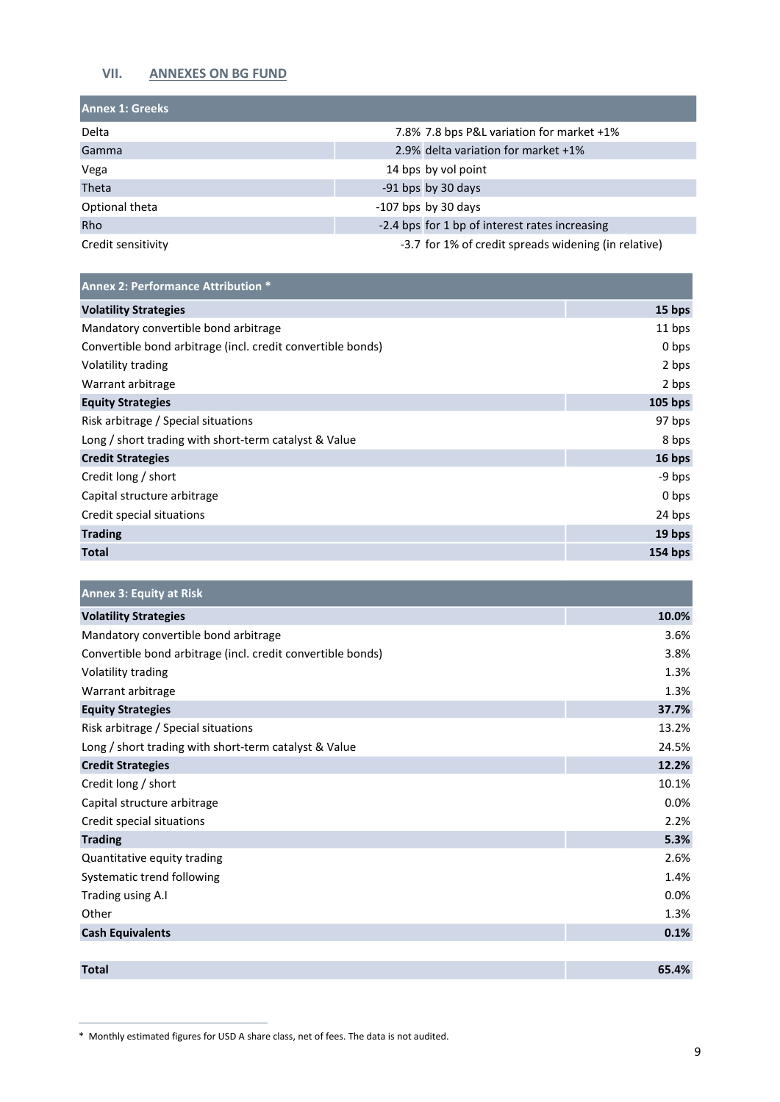# **VII. ANNEXES ON BG FUND**

| <b>Annex 1: Greeks</b> |                                                      |
|------------------------|------------------------------------------------------|
| Delta                  | 7.8% 7.8 bps P&L variation for market +1%            |
| Gamma                  | 2.9% delta variation for market +1%                  |
| Vega                   | 14 bps by vol point                                  |
| Theta                  | -91 bps by 30 days                                   |
| Optional theta         | $-107$ bps by 30 days                                |
| <b>Rho</b>             | -2.4 bps for 1 bp of interest rates increasing       |
| Credit sensitivity     | -3.7 for 1% of credit spreads widening (in relative) |

| <b>Annex 2: Performance Attribution *</b>                   |           |
|-------------------------------------------------------------|-----------|
| <b>Volatility Strategies</b>                                | 15 bps    |
| Mandatory convertible bond arbitrage                        | 11 bps    |
| Convertible bond arbitrage (incl. credit convertible bonds) | 0 bps     |
| Volatility trading                                          | 2 bps     |
| Warrant arbitrage                                           | 2 bps     |
| <b>Equity Strategies</b>                                    | $105$ bps |
| Risk arbitrage / Special situations                         | 97 bps    |
| Long / short trading with short-term catalyst & Value       | 8 bps     |
| <b>Credit Strategies</b>                                    | 16 bps    |
| Credit long / short                                         | -9 bps    |
| Capital structure arbitrage                                 | 0 bps     |
| Credit special situations                                   | 24 bps    |
| <b>Trading</b>                                              | 19 bps    |
| <b>Total</b>                                                | 154 bps   |

| <b>Annex 3: Equity at Risk</b>                              |       |
|-------------------------------------------------------------|-------|
| <b>Volatility Strategies</b>                                | 10.0% |
| Mandatory convertible bond arbitrage                        | 3.6%  |
| Convertible bond arbitrage (incl. credit convertible bonds) | 3.8%  |
| Volatility trading                                          | 1.3%  |
| Warrant arbitrage                                           | 1.3%  |
| <b>Equity Strategies</b>                                    | 37.7% |
| Risk arbitrage / Special situations                         | 13.2% |
| Long / short trading with short-term catalyst & Value       | 24.5% |
| <b>Credit Strategies</b>                                    | 12.2% |
| Credit long / short                                         | 10.1% |
| Capital structure arbitrage                                 | 0.0%  |
| Credit special situations                                   | 2.2%  |
| <b>Trading</b>                                              | 5.3%  |
| Quantitative equity trading                                 | 2.6%  |
| Systematic trend following                                  | 1.4%  |
| Trading using A.I                                           | 0.0%  |
| Other                                                       | 1.3%  |
| <b>Cash Equivalents</b>                                     | 0.1%  |
|                                                             |       |
| <b>Total</b>                                                | 65.4% |

<sup>\*</sup> Monthly estimated figures for USD A share class, net of fees. The data is not audited.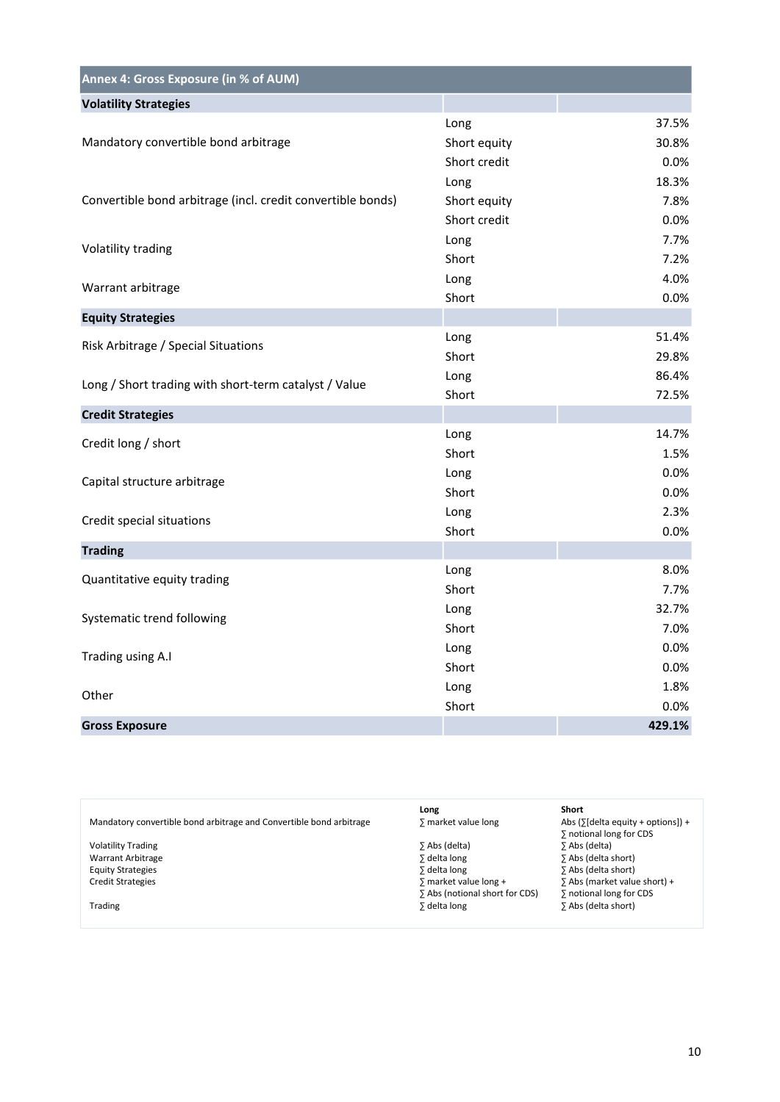| Annex 4: Gross Exposure (in % of AUM)                       |              |        |
|-------------------------------------------------------------|--------------|--------|
| <b>Volatility Strategies</b>                                |              |        |
|                                                             | Long         | 37.5%  |
| Mandatory convertible bond arbitrage                        | Short equity | 30.8%  |
|                                                             | Short credit | 0.0%   |
|                                                             | Long         | 18.3%  |
| Convertible bond arbitrage (incl. credit convertible bonds) | Short equity | 7.8%   |
|                                                             | Short credit | 0.0%   |
| Volatility trading                                          | Long         | 7.7%   |
|                                                             | Short        | 7.2%   |
| Warrant arbitrage                                           | Long         | 4.0%   |
|                                                             | Short        | 0.0%   |
| <b>Equity Strategies</b>                                    |              |        |
| Risk Arbitrage / Special Situations                         | Long         | 51.4%  |
|                                                             | Short        | 29.8%  |
| Long / Short trading with short-term catalyst / Value       | Long         | 86.4%  |
|                                                             | Short        | 72.5%  |
| <b>Credit Strategies</b>                                    |              |        |
| Credit long / short                                         | Long         | 14.7%  |
|                                                             | Short        | 1.5%   |
| Capital structure arbitrage                                 | Long         | 0.0%   |
|                                                             | Short        | 0.0%   |
| Credit special situations                                   | Long         | 2.3%   |
|                                                             | Short        | 0.0%   |
| <b>Trading</b>                                              |              |        |
| Quantitative equity trading                                 | Long         | 8.0%   |
|                                                             | Short        | 7.7%   |
| Systematic trend following                                  | Long         | 32.7%  |
|                                                             | Short        | 7.0%   |
| Trading using A.I                                           | Long         | 0.0%   |
|                                                             | Short        | 0.0%   |
| Other                                                       | Long         | 1.8%   |
|                                                             | Short        | 0.0%   |
| <b>Gross Exposure</b>                                       |              | 429.1% |

|                                                                     | Long                           | Short                                       |
|---------------------------------------------------------------------|--------------------------------|---------------------------------------------|
| Mandatory convertible bond arbitrage and Convertible bond arbitrage | ∑ market value long            | Abs ( $\sqrt{6}$ delta equity + options]) + |
|                                                                     |                                | ∑ notional long for CDS                     |
| <b>Volatility Trading</b>                                           | ΣAbs (delta)                   | ∑ Abs (delta)                               |
| Warrant Arbitrage                                                   | ∑ delta long                   | ∑ Abs (delta short)                         |
| <b>Equity Strategies</b>                                            | ∑ delta long                   | ∑ Abs (delta short)                         |
| <b>Credit Strategies</b>                                            | $\sum$ market value long +     | $\overline{2}$ Abs (market value short) +   |
|                                                                     | Σ Abs (notional short for CDS) | ∑ notional long for CDS                     |
| Trading                                                             | ∑ delta long                   | ∑ Abs (delta short)                         |
|                                                                     |                                |                                             |
|                                                                     |                                |                                             |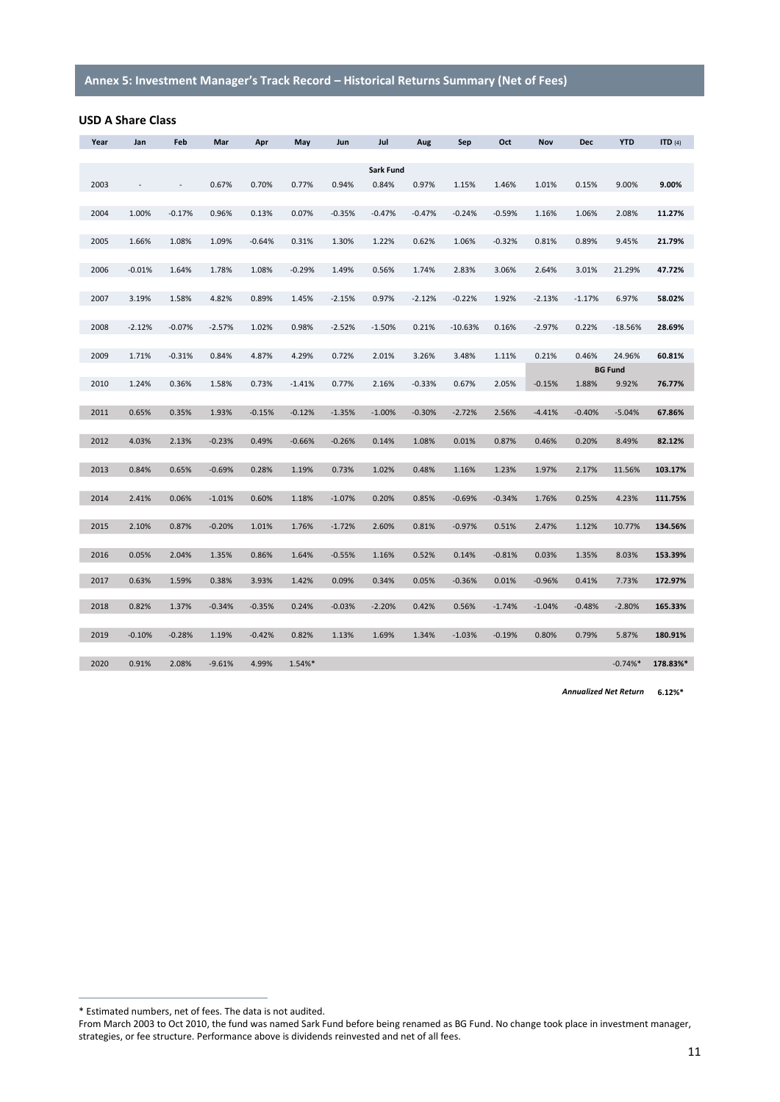### **USD A Share Class**

| Year | Jan      | Feb      | Mar      | Apr      | May      | Jun      | Jul       | Aug      | Sep       | Oct      | Nov      | Dec      | <b>YTD</b>     | ITD $(4)$ |
|------|----------|----------|----------|----------|----------|----------|-----------|----------|-----------|----------|----------|----------|----------------|-----------|
|      |          |          |          |          |          |          |           |          |           |          |          |          |                |           |
|      |          |          |          |          |          |          | Sark Fund |          |           |          |          |          |                |           |
| 2003 |          | $\sim$   | 0.67%    | 0.70%    | 0.77%    | 0.94%    | 0.84%     | 0.97%    | 1.15%     | 1.46%    | 1.01%    | 0.15%    | 9.00%          | 9.00%     |
| 2004 | 1.00%    | $-0.17%$ | 0.96%    | 0.13%    | 0.07%    | $-0.35%$ | $-0.47%$  | $-0.47%$ | $-0.24%$  | $-0.59%$ | 1.16%    | 1.06%    | 2.08%          | 11.27%    |
|      |          |          |          |          |          |          |           |          |           |          |          |          |                |           |
| 2005 | 1.66%    | 1.08%    | 1.09%    | $-0.64%$ | 0.31%    | 1.30%    | 1.22%     | 0.62%    | 1.06%     | $-0.32%$ | 0.81%    | 0.89%    | 9.45%          | 21.79%    |
|      |          |          |          |          |          |          |           |          |           |          |          |          |                |           |
| 2006 | $-0.01%$ | 1.64%    | 1.78%    | 1.08%    | $-0.29%$ | 1.49%    | 0.56%     | 1.74%    | 2.83%     | 3.06%    | 2.64%    | 3.01%    | 21.29%         | 47.72%    |
|      |          |          |          |          |          |          |           |          |           |          |          |          |                |           |
| 2007 | 3.19%    | 1.58%    | 4.82%    | 0.89%    | 1.45%    | $-2.15%$ | 0.97%     | $-2.12%$ | $-0.22%$  | 1.92%    | $-2.13%$ | $-1.17%$ | 6.97%          | 58.02%    |
|      |          |          |          |          |          |          |           |          |           |          |          |          |                |           |
| 2008 | $-2.12%$ | $-0.07%$ | $-2.57%$ | 1.02%    | 0.98%    | $-2.52%$ | $-1.50%$  | 0.21%    | $-10.63%$ | 0.16%    | $-2.97%$ | 0.22%    | $-18.56%$      | 28.69%    |
| 2009 | 1.71%    | $-0.31%$ | 0.84%    | 4.87%    | 4.29%    | 0.72%    | 2.01%     | 3.26%    | 3.48%     | 1.11%    | 0.21%    | 0.46%    | 24.96%         | 60.81%    |
|      |          |          |          |          |          |          |           |          |           |          |          |          | <b>BG Fund</b> |           |
| 2010 | 1.24%    | 0.36%    | 1.58%    | 0.73%    | $-1.41%$ | 0.77%    | 2.16%     | $-0.33%$ | 0.67%     | 2.05%    | $-0.15%$ | 1.88%    | 9.92%          | 76.77%    |
|      |          |          |          |          |          |          |           |          |           |          |          |          |                |           |
| 2011 | 0.65%    | 0.35%    | 1.93%    | $-0.15%$ | $-0.12%$ | $-1.35%$ | $-1.00%$  | $-0.30%$ | $-2.72%$  | 2.56%    | $-4.41%$ | $-0.40%$ | $-5.04%$       | 67.86%    |
|      |          |          |          |          |          |          |           |          |           |          |          |          |                |           |
| 2012 | 4.03%    | 2.13%    | $-0.23%$ | 0.49%    | $-0.66%$ | $-0.26%$ | 0.14%     | 1.08%    | 0.01%     | 0.87%    | 0.46%    | 0.20%    | 8.49%          | 82.12%    |
|      |          |          |          |          |          |          |           |          |           |          |          |          |                |           |
| 2013 | 0.84%    | 0.65%    | $-0.69%$ | 0.28%    | 1.19%    | 0.73%    | 1.02%     | 0.48%    | 1.16%     | 1.23%    | 1.97%    | 2.17%    | 11.56%         | 103.17%   |
| 2014 | 2.41%    | 0.06%    | $-1.01%$ | 0.60%    | 1.18%    | $-1.07%$ | 0.20%     | 0.85%    | $-0.69%$  | $-0.34%$ | 1.76%    | 0.25%    | 4.23%          | 111.75%   |
|      |          |          |          |          |          |          |           |          |           |          |          |          |                |           |
| 2015 | 2.10%    | 0.87%    | $-0.20%$ | 1.01%    | 1.76%    | $-1.72%$ | 2.60%     | 0.81%    | $-0.97%$  | 0.51%    | 2.47%    | 1.12%    | 10.77%         | 134.56%   |
|      |          |          |          |          |          |          |           |          |           |          |          |          |                |           |
| 2016 | 0.05%    | 2.04%    | 1.35%    | 0.86%    | 1.64%    | $-0.55%$ | 1.16%     | 0.52%    | 0.14%     | $-0.81%$ | 0.03%    | 1.35%    | 8.03%          | 153.39%   |
|      |          |          |          |          |          |          |           |          |           |          |          |          |                |           |
| 2017 | 0.63%    | 1.59%    | 0.38%    | 3.93%    | 1.42%    | 0.09%    | 0.34%     | 0.05%    | $-0.36%$  | 0.01%    | $-0.96%$ | 0.41%    | 7.73%          | 172.97%   |
| 2018 | 0.82%    | 1.37%    | $-0.34%$ | $-0.35%$ | 0.24%    | $-0.03%$ | $-2.20%$  | 0.42%    | 0.56%     | $-1.74%$ | $-1.04%$ | $-0.48%$ | $-2.80%$       | 165.33%   |
|      |          |          |          |          |          |          |           |          |           |          |          |          |                |           |
| 2019 | $-0.10%$ | $-0.28%$ | 1.19%    | $-0.42%$ | 0.82%    | 1.13%    | 1.69%     | 1.34%    | $-1.03%$  | $-0.19%$ | 0.80%    | 0.79%    | 5.87%          | 180.91%   |
|      |          |          |          |          |          |          |           |          |           |          |          |          |                |           |
| 2020 | 0.91%    | 2.08%    | $-9.61%$ | 4.99%    | 1.54%*   |          |           |          |           |          |          |          | $-0.74%$       | 178.83%*  |
|      |          |          |          |          |          |          |           |          |           |          |          |          |                |           |

*Annualized Net Return* **6.12%\***

<sup>\*</sup> Estimated numbers, net of fees. The data is not audited.

From March 2003 to Oct 2010, the fund was named Sark Fund before being renamed as BG Fund. No change took place in investment manager, strategies, or fee structure. Performance above is dividends reinvested and net of all fees.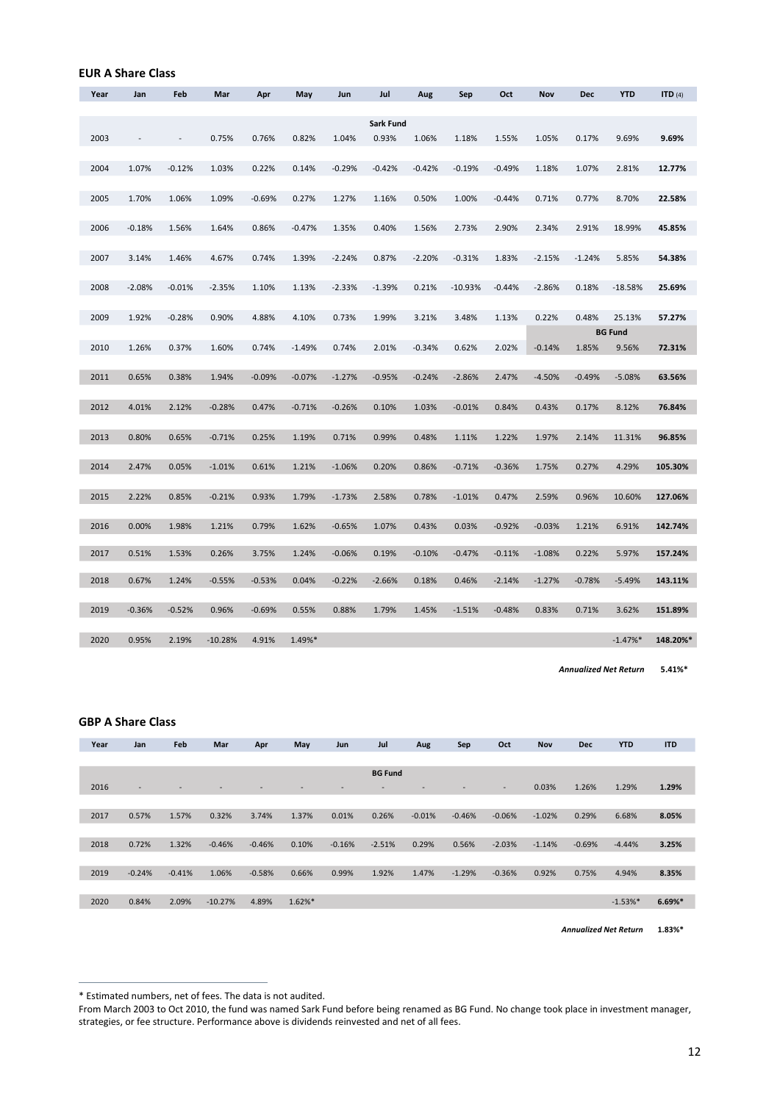| Year | Jan      | Feb            | Mar       | Apr      | May      | Jun      | Jul                | Aug      | Sep       | Oct      | Nov      | Dec      | <b>YTD</b>     | ITD $(4)$ |
|------|----------|----------------|-----------|----------|----------|----------|--------------------|----------|-----------|----------|----------|----------|----------------|-----------|
|      |          |                |           |          |          |          |                    |          |           |          |          |          |                |           |
| 2003 |          | $\overline{a}$ | 0.75%     | 0.76%    | 0.82%    | 1.04%    | Sark Fund<br>0.93% | 1.06%    | 1.18%     | 1.55%    | 1.05%    | 0.17%    | 9.69%          | 9.69%     |
|      |          |                |           |          |          |          |                    |          |           |          |          |          |                |           |
| 2004 | 1.07%    | $-0.12%$       | 1.03%     | 0.22%    | 0.14%    | $-0.29%$ | $-0.42%$           | $-0.42%$ | $-0.19%$  | $-0.49%$ | 1.18%    | 1.07%    | 2.81%          | 12.77%    |
|      |          |                |           |          |          |          |                    |          |           |          |          |          |                |           |
| 2005 | 1.70%    | 1.06%          | 1.09%     | $-0.69%$ | 0.27%    | 1.27%    | 1.16%              | 0.50%    | 1.00%     | $-0.44%$ | 0.71%    | 0.77%    | 8.70%          | 22.58%    |
| 2006 | $-0.18%$ | 1.56%          | 1.64%     | 0.86%    | $-0.47%$ | 1.35%    | 0.40%              | 1.56%    | 2.73%     | 2.90%    | 2.34%    | 2.91%    | 18.99%         | 45.85%    |
|      |          |                |           |          |          |          |                    |          |           |          |          |          |                |           |
| 2007 | 3.14%    | 1.46%          | 4.67%     | 0.74%    | 1.39%    | $-2.24%$ | 0.87%              | $-2.20%$ | $-0.31%$  | 1.83%    | $-2.15%$ | $-1.24%$ | 5.85%          | 54.38%    |
| 2008 | $-2.08%$ | $-0.01%$       | $-2.35%$  | 1.10%    | 1.13%    | $-2.33%$ | $-1.39%$           | 0.21%    | $-10.93%$ | $-0.44%$ | $-2.86%$ | 0.18%    | $-18.58%$      | 25.69%    |
|      |          |                |           |          |          |          |                    |          |           |          |          |          |                |           |
| 2009 | 1.92%    | $-0.28%$       | 0.90%     | 4.88%    | 4.10%    | 0.73%    | 1.99%              | 3.21%    | 3.48%     | 1.13%    | 0.22%    | 0.48%    | 25.13%         | 57.27%    |
|      |          |                |           |          |          |          |                    |          |           |          |          |          | <b>BG Fund</b> |           |
| 2010 | 1.26%    | 0.37%          | 1.60%     | 0.74%    | $-1.49%$ | 0.74%    | 2.01%              | $-0.34%$ | 0.62%     | 2.02%    | $-0.14%$ | 1.85%    | 9.56%          | 72.31%    |
| 2011 | 0.65%    | 0.38%          | 1.94%     | $-0.09%$ | $-0.07%$ | $-1.27%$ | $-0.95%$           | $-0.24%$ | $-2.86%$  | 2.47%    | $-4.50%$ | $-0.49%$ | $-5.08%$       | 63.56%    |
|      |          |                |           |          |          |          |                    |          |           |          |          |          |                |           |
| 2012 | 4.01%    | 2.12%          | $-0.28%$  | 0.47%    | $-0.71%$ | $-0.26%$ | 0.10%              | 1.03%    | $-0.01%$  | 0.84%    | 0.43%    | 0.17%    | 8.12%          | 76.84%    |
| 2013 | 0.80%    | 0.65%          | $-0.71%$  | 0.25%    | 1.19%    | 0.71%    | 0.99%              | 0.48%    | 1.11%     | 1.22%    | 1.97%    | 2.14%    | 11.31%         | 96.85%    |
|      |          |                |           |          |          |          |                    |          |           |          |          |          |                |           |
| 2014 | 2.47%    | 0.05%          | $-1.01%$  | 0.61%    | 1.21%    | $-1.06%$ | 0.20%              | 0.86%    | $-0.71%$  | $-0.36%$ | 1.75%    | 0.27%    | 4.29%          | 105.30%   |
|      |          |                |           |          |          |          |                    |          |           |          |          |          |                |           |
| 2015 | 2.22%    | 0.85%          | $-0.21%$  | 0.93%    | 1.79%    | $-1.73%$ | 2.58%              | 0.78%    | $-1.01%$  | 0.47%    | 2.59%    | 0.96%    | 10.60%         | 127.06%   |
| 2016 | 0.00%    | 1.98%          | 1.21%     | 0.79%    | 1.62%    | $-0.65%$ | 1.07%              | 0.43%    | 0.03%     | $-0.92%$ | $-0.03%$ | 1.21%    | 6.91%          | 142.74%   |
|      |          |                |           |          |          |          |                    |          |           |          |          |          |                |           |
| 2017 | 0.51%    | 1.53%          | 0.26%     | 3.75%    | 1.24%    | $-0.06%$ | 0.19%              | $-0.10%$ | $-0.47%$  | $-0.11%$ | $-1.08%$ | 0.22%    | 5.97%          | 157.24%   |
| 2018 | 0.67%    | 1.24%          | $-0.55%$  | $-0.53%$ | 0.04%    | $-0.22%$ | $-2.66%$           | 0.18%    | 0.46%     | $-2.14%$ | $-1.27%$ | $-0.78%$ | $-5.49%$       | 143.11%   |
|      |          |                |           |          |          |          |                    |          |           |          |          |          |                |           |
| 2019 | $-0.36%$ | $-0.52%$       | 0.96%     | $-0.69%$ | 0.55%    | 0.88%    | 1.79%              | 1.45%    | $-1.51%$  | $-0.48%$ | 0.83%    | 0.71%    | 3.62%          | 151.89%   |
| 2020 | 0.95%    | 2.19%          | $-10.28%$ | 4.91%    | 1.49%*   |          |                    |          |           |          |          |          | $-1.47%$       | 148.20%*  |
|      |          |                |           |          |          |          |                    |          |           |          |          |          |                |           |

*Annualized Net Return* **5.41%\***

#### **GBP A Share Class**

**EUR A Share Class\*\***

| Year | Jan                      | Feb                      | Mar       | Apr      | May       | Jun      | Jul            | Aug      | Sep      | Oct                      | <b>Nov</b> | <b>Dec</b> | <b>YTD</b> | <b>ITD</b> |
|------|--------------------------|--------------------------|-----------|----------|-----------|----------|----------------|----------|----------|--------------------------|------------|------------|------------|------------|
|      |                          |                          |           |          |           |          |                |          |          |                          |            |            |            |            |
|      |                          |                          |           |          |           |          | <b>BG Fund</b> |          |          |                          |            |            |            |            |
| 2016 | $\overline{\phantom{a}}$ | $\overline{\phantom{0}}$ |           |          |           |          |                |          |          | $\overline{\phantom{a}}$ | 0.03%      | 1.26%      | 1.29%      | 1.29%      |
|      |                          |                          |           |          |           |          |                |          |          |                          |            |            |            |            |
| 2017 | 0.57%                    | 1.57%                    | 0.32%     | 3.74%    | 1.37%     | 0.01%    | 0.26%          | $-0.01%$ | $-0.46%$ | $-0.06%$                 | $-1.02%$   | 0.29%      | 6.68%      | 8.05%      |
|      |                          |                          |           |          |           |          |                |          |          |                          |            |            |            |            |
| 2018 | 0.72%                    | 1.32%                    | $-0.46%$  | $-0.46%$ | 0.10%     | $-0.16%$ | $-2.51%$       | 0.29%    | 0.56%    | $-2.03%$                 | $-1.14%$   | $-0.69%$   | $-4.44%$   | 3.25%      |
|      |                          |                          |           |          |           |          |                |          |          |                          |            |            |            |            |
| 2019 | $-0.24%$                 | $-0.41%$                 | 1.06%     | $-0.58%$ | 0.66%     | 0.99%    | 1.92%          | 1.47%    | $-1.29%$ | $-0.36%$                 | 0.92%      | 0.75%      | 4.94%      | 8.35%      |
|      |                          |                          |           |          |           |          |                |          |          |                          |            |            |            |            |
| 2020 | 0.84%                    | 2.09%                    | $-10.27%$ | 4.89%    | $1.62%$ * |          |                |          |          |                          |            |            | $-1.53%$ * | $6.69%$ *  |
|      |                          |                          |           |          |           |          |                |          |          |                          |            |            |            |            |

**1.83%\*** *Annualized Net Return*

<sup>\*</sup> Estimated numbers, net of fees. The data is not audited.

From March 2003 to Oct 2010, the fund was named Sark Fund before being renamed as BG Fund. No change took place in investment manager, strategies, or fee structure. Performance above is dividends reinvested and net of all fees.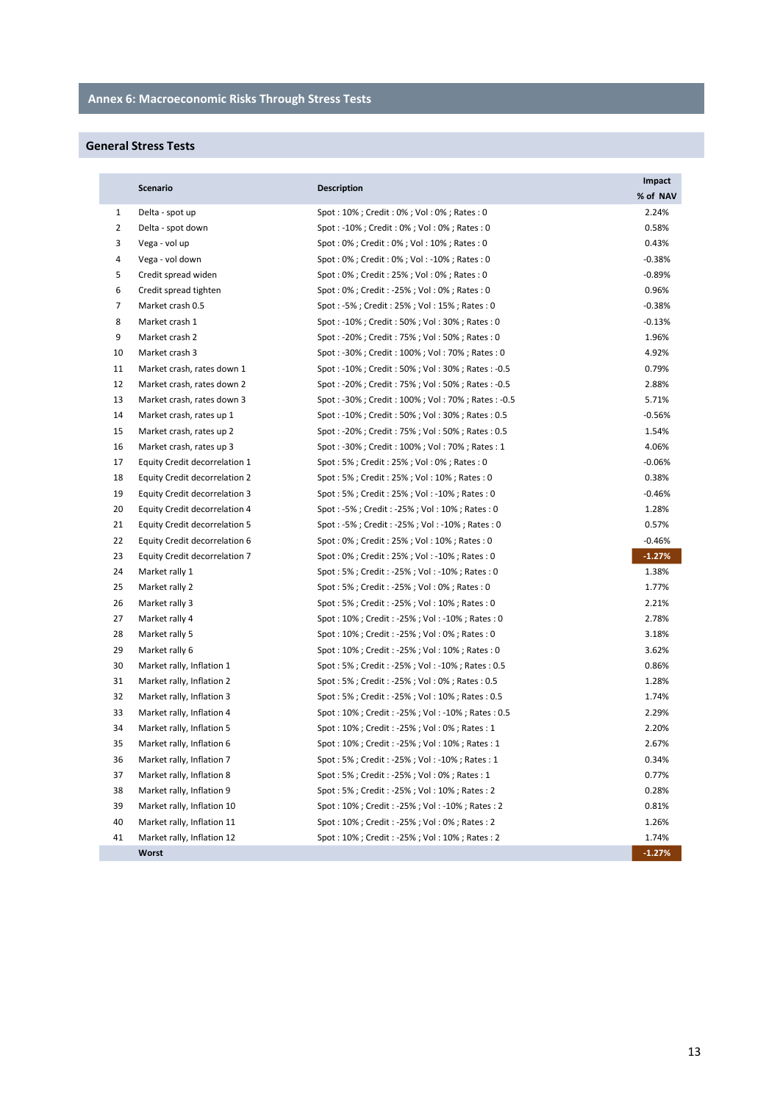# **General Stress Tests**

|                | <b>Scenario</b>               | <b>Description</b>                              | Impact   |
|----------------|-------------------------------|-------------------------------------------------|----------|
|                |                               |                                                 | % of NAV |
| $\mathbf{1}$   | Delta - spot up               | Spot: 10%; Credit: 0%; Vol: 0%; Rates: 0        | 2.24%    |
| 2              | Delta - spot down             | Spot: -10%; Credit: 0%; Vol: 0%; Rates: 0       | 0.58%    |
| 3              | Vega - vol up                 | Spot: 0%; Credit: 0%; Vol: 10%; Rates: 0        | 0.43%    |
| 4              | Vega - vol down               | Spot: 0%; Credit: 0%; Vol: -10%; Rates: 0       | $-0.38%$ |
| 5              | Credit spread widen           | Spot: 0%; Credit: 25%; Vol: 0%; Rates: 0        | $-0.89%$ |
| 6              | Credit spread tighten         | Spot: 0%; Credit: -25%; Vol: 0%; Rates: 0       | 0.96%    |
| $\overline{7}$ | Market crash 0.5              | Spot: -5%; Credit: 25%; Vol: 15%; Rates: 0      | $-0.38%$ |
| 8              | Market crash 1                | Spot: -10%; Credit: 50%; Vol: 30%; Rates: 0     | $-0.13%$ |
| 9              | Market crash 2                | Spot: -20%; Credit: 75%; Vol: 50%; Rates: 0     | 1.96%    |
| 10             | Market crash 3                | Spot: -30%; Credit: 100%; Vol: 70%; Rates: 0    | 4.92%    |
| 11             | Market crash, rates down 1    | Spot: -10%; Credit: 50%; Vol: 30%; Rates: -0.5  | 0.79%    |
| 12             | Market crash, rates down 2    | Spot: -20%; Credit: 75%; Vol: 50%; Rates: -0.5  | 2.88%    |
| 13             | Market crash, rates down 3    | Spot: -30%; Credit: 100%; Vol: 70%; Rates: -0.5 | 5.71%    |
| 14             | Market crash, rates up 1      | Spot: -10%; Credit: 50%; Vol: 30%; Rates: 0.5   | $-0.56%$ |
| 15             | Market crash, rates up 2      | Spot: -20%; Credit: 75%; Vol: 50%; Rates: 0.5   | 1.54%    |
| 16             | Market crash, rates up 3      | Spot: -30%; Credit: 100%; Vol: 70%; Rates: 1    | 4.06%    |
| 17             | Equity Credit decorrelation 1 | Spot: 5%; Credit: 25%; Vol: 0%; Rates: 0        | $-0.06%$ |
| 18             | Equity Credit decorrelation 2 | Spot: 5%; Credit: 25%; Vol: 10%; Rates: 0       | 0.38%    |
| 19             | Equity Credit decorrelation 3 | Spot: 5%; Credit: 25%; Vol: -10%; Rates: 0      | $-0.46%$ |
| 20             | Equity Credit decorrelation 4 | Spot: -5%; Credit: -25%; Vol: 10%; Rates: 0     | 1.28%    |
| 21             | Equity Credit decorrelation 5 | Spot: -5%; Credit: -25%; Vol: -10%; Rates: 0    | 0.57%    |
| 22             | Equity Credit decorrelation 6 | Spot: 0%; Credit: 25%; Vol: 10%; Rates: 0       | $-0.46%$ |
| 23             | Equity Credit decorrelation 7 | Spot: 0%; Credit: 25%; Vol: -10%; Rates: 0      | $-1.27%$ |
| 24             | Market rally 1                | Spot: 5%; Credit: -25%; Vol: -10%; Rates: 0     | 1.38%    |
| 25             | Market rally 2                | Spot: 5%; Credit: -25%; Vol: 0%; Rates: 0       | 1.77%    |
| 26             | Market rally 3                | Spot: 5%; Credit: -25%; Vol: 10%; Rates: 0      | 2.21%    |
| 27             | Market rally 4                | Spot: 10%; Credit: -25%; Vol: -10%; Rates: 0    | 2.78%    |
| 28             | Market rally 5                | Spot: 10%; Credit: -25%; Vol: 0%; Rates: 0      | 3.18%    |
| 29             | Market rally 6                | Spot: 10%; Credit: -25%; Vol: 10%; Rates: 0     | 3.62%    |
| 30             | Market rally, Inflation 1     | Spot: 5%; Credit: -25%; Vol: -10%; Rates: 0.5   | 0.86%    |
| 31             | Market rally, Inflation 2     | Spot: 5%; Credit: -25%; Vol: 0%; Rates: 0.5     | 1.28%    |
| 32             | Market rally, Inflation 3     | Spot: 5%; Credit: -25%; Vol: 10%; Rates: 0.5    | 1.74%    |
| 33             | Market rally, Inflation 4     | Spot: 10%; Credit: -25%; Vol: -10%; Rates: 0.5  | 2.29%    |
| 34             | Market rally, Inflation 5     | Spot: 10%; Credit: -25%; Vol: 0%; Rates: 1      | 2.20%    |
| 35             | Market rally, Inflation 6     | Spot: 10%; Credit: -25%; Vol: 10%; Rates: 1     | 2.67%    |
| 36             | Market rally, Inflation 7     | Spot: 5%; Credit: -25%; Vol: -10%; Rates: 1     | 0.34%    |
| 37             | Market rally, Inflation 8     | Spot: 5%; Credit: -25%; Vol: 0%; Rates: 1       | 0.77%    |
| 38             | Market rally, Inflation 9     | Spot: 5%; Credit: -25%; Vol: 10%; Rates: 2      | 0.28%    |
| 39             | Market rally, Inflation 10    | Spot: 10%; Credit: -25%; Vol: -10%; Rates: 2    | 0.81%    |
| 40             | Market rally, Inflation 11    | Spot: 10%; Credit: -25%; Vol: 0%; Rates: 2      | 1.26%    |
| 41             | Market rally, Inflation 12    | Spot: 10%; Credit: -25%; Vol: 10%; Rates: 2     | 1.74%    |
|                | Worst                         |                                                 | $-1.27%$ |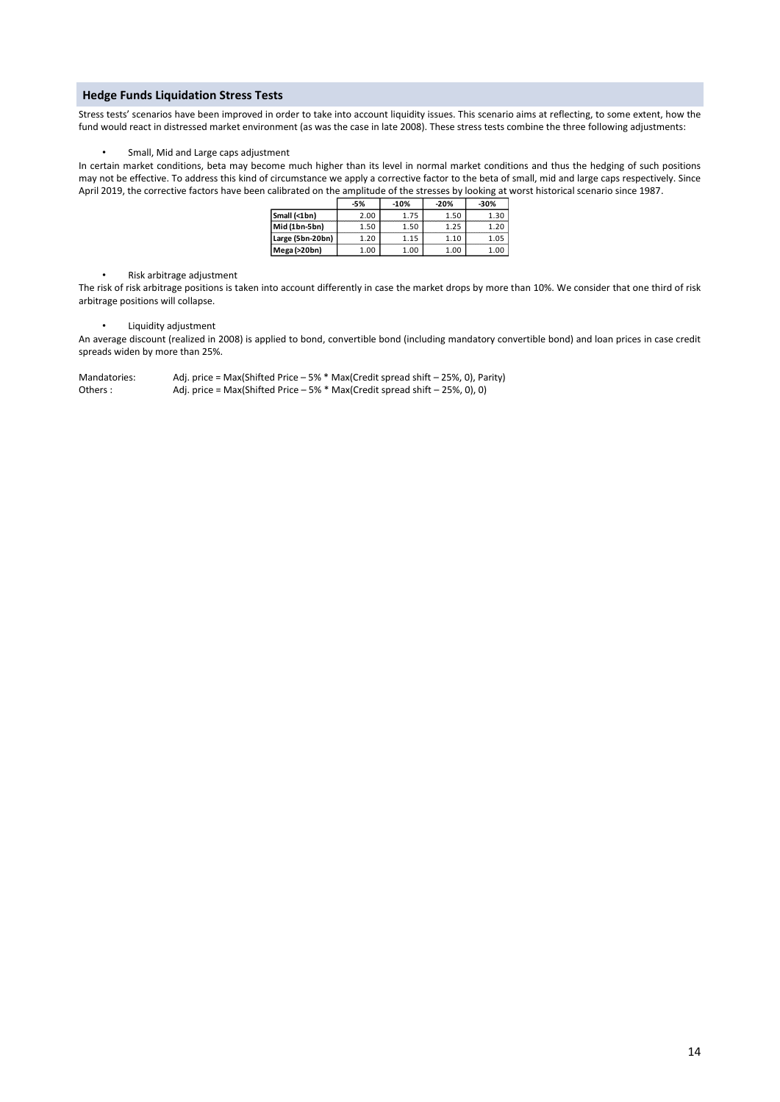#### **Hedge Funds Liquidation Stress Tests**

Stress tests' scenarios have been improved in order to take into account liquidity issues. This scenario aims at reflecting, to some extent, how the fund would react in distressed market environment (as was the case in late 2008). These stress tests combine the three following adjustments:

#### • Small, Mid and Large caps adjustment

In certain market conditions, beta may become much higher than its level in normal market conditions and thus the hedging of such positions may not be effective. To address this kind of circumstance we apply a corrective factor to the beta of small, mid and large caps respectively. Since April 2019, the corrective factors have been calibrated on the amplitude of the stresses by looking at worst historical scenario since 1987.

|                  | -5%  | $-10%$ | $-20%$ | -30% |
|------------------|------|--------|--------|------|
| Small (<1bn)     | 2.00 | 1.75   | 1.50   | 1.30 |
| Mid (1bn-5bn)    | 1.50 | 1.50   | 1.25   | 1.20 |
| Large (5bn-20bn) | 1.20 | 115    | 1.10   | 1.05 |
| Mega (>20bn)     | 1.00 | 1.00   | 1.00   | 1.00 |

• Risk arbitrage adjustment

The risk of risk arbitrage positions is taken into account differently in case the market drops by more than 10%. We consider that one third of risk arbitrage positions will collapse.

• Liquidity adjustment

An average discount (realized in 2008) is applied to bond, convertible bond (including mandatory convertible bond) and loan prices in case credit spreads widen by more than 25%.

Mandatories: Adj. price = Max(Shifted Price – 5% \* Max(Credit spread shift – 25%, 0), Parity)<br>Others : Adj. price = Max(Shifted Price – 5% \* Max(Credit spread shift – 25%, 0), 0) Adj. price = Max(Shifted Price – 5%  $*$  Max(Credit spread shift – 25%, 0), 0)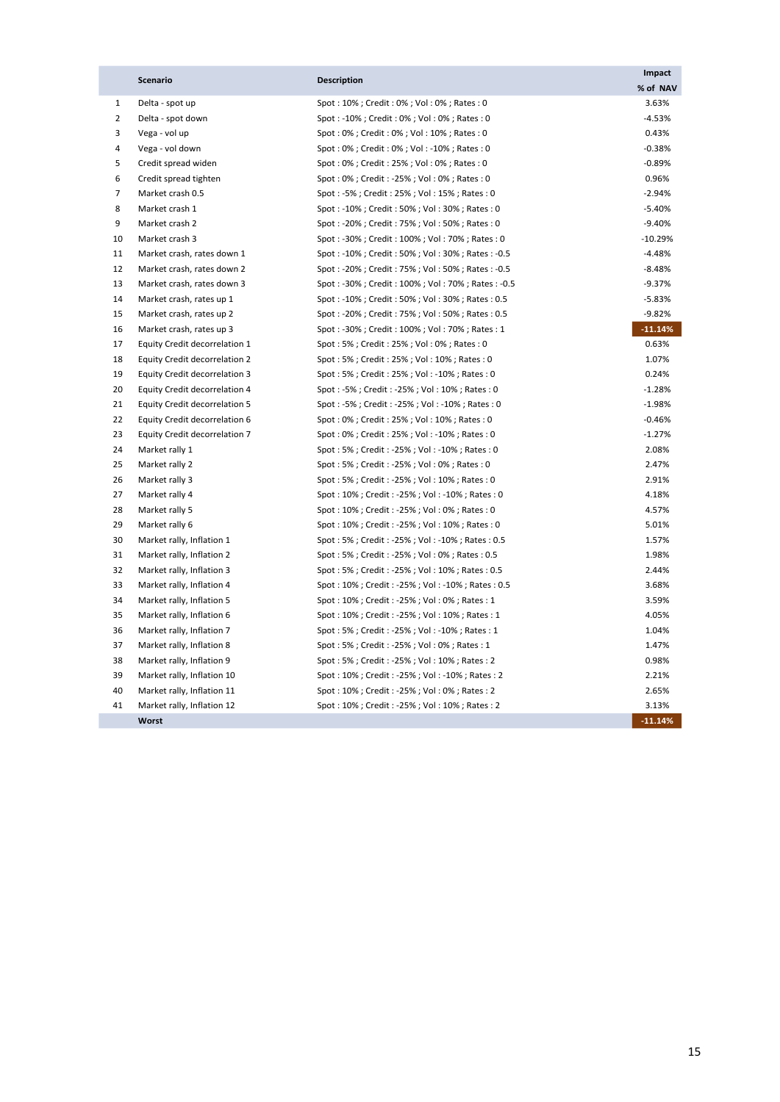|                | <b>Scenario</b>                      | <b>Description</b>                              | Impact    |
|----------------|--------------------------------------|-------------------------------------------------|-----------|
|                |                                      |                                                 | % of NAV  |
| $\mathbf{1}$   | Delta - spot up                      | Spot: 10%; Credit: 0%; Vol: 0%; Rates: 0        | 3.63%     |
| $\overline{2}$ | Delta - spot down                    | Spot: -10%; Credit: 0%; Vol: 0%; Rates: 0       | $-4.53%$  |
| 3              | Vega - vol up                        | Spot: 0%; Credit: 0%; Vol: 10%; Rates: 0        | 0.43%     |
| 4              | Vega - vol down                      | Spot: 0%; Credit: 0%; Vol: -10%; Rates: 0       | $-0.38%$  |
| 5              | Credit spread widen                  | Spot: 0%; Credit: 25%; Vol: 0%; Rates: 0        | $-0.89%$  |
| 6              | Credit spread tighten                | Spot: 0%; Credit: -25%; Vol: 0%; Rates: 0       | 0.96%     |
| $\overline{7}$ | Market crash 0.5                     | Spot: -5%; Credit: 25%; Vol: 15%; Rates: 0      | $-2.94%$  |
| 8              | Market crash 1                       | Spot: -10%; Credit: 50%; Vol: 30%; Rates: 0     | $-5.40%$  |
| 9              | Market crash 2                       | Spot: -20%; Credit: 75%; Vol: 50%; Rates: 0     | $-9.40%$  |
| 10             | Market crash 3                       | Spot: -30%; Credit: 100%; Vol: 70%; Rates: 0    | $-10.29%$ |
| 11             | Market crash, rates down 1           | Spot: -10%; Credit: 50%; Vol: 30%; Rates: -0.5  | $-4.48%$  |
| 12             | Market crash, rates down 2           | Spot: -20%; Credit: 75%; Vol: 50%; Rates: -0.5  | $-8.48%$  |
| 13             | Market crash, rates down 3           | Spot: -30%; Credit: 100%; Vol: 70%; Rates: -0.5 | $-9.37%$  |
| 14             | Market crash, rates up 1             | Spot: -10%; Credit: 50%; Vol: 30%; Rates: 0.5   | $-5.83%$  |
| 15             | Market crash, rates up 2             | Spot: -20%; Credit: 75%; Vol: 50%; Rates: 0.5   | $-9.82%$  |
| 16             | Market crash, rates up 3             | Spot: -30%; Credit: 100%; Vol: 70%; Rates: 1    | $-11.14%$ |
| 17             | Equity Credit decorrelation 1        | Spot: 5%; Credit: 25%; Vol: 0%; Rates: 0        | 0.63%     |
| 18             | Equity Credit decorrelation 2        | Spot: 5%; Credit: 25%; Vol: 10%; Rates: 0       | 1.07%     |
| 19             | Equity Credit decorrelation 3        | Spot: 5%; Credit: 25%; Vol: -10%; Rates: 0      | 0.24%     |
| 20             | Equity Credit decorrelation 4        | Spot: -5%; Credit: -25%; Vol: 10%; Rates: 0     | $-1.28%$  |
| 21             | <b>Equity Credit decorrelation 5</b> | Spot: -5%; Credit: -25%; Vol: -10%; Rates: 0    | $-1.98%$  |
| 22             | Equity Credit decorrelation 6        | Spot: 0%; Credit: 25%; Vol: 10%; Rates: 0       | $-0.46%$  |
| 23             | Equity Credit decorrelation 7        | Spot: 0%; Credit: 25%; Vol: -10%; Rates: 0      | $-1.27%$  |
| 24             | Market rally 1                       | Spot: 5%; Credit: -25%; Vol: -10%; Rates: 0     | 2.08%     |
| 25             | Market rally 2                       | Spot: 5%; Credit: -25%; Vol: 0%; Rates: 0       | 2.47%     |
| 26             | Market rally 3                       | Spot: 5%; Credit: -25%; Vol: 10%; Rates: 0      | 2.91%     |
| 27             | Market rally 4                       | Spot: 10%; Credit: -25%; Vol: -10%; Rates: 0    | 4.18%     |
| 28             | Market rally 5                       | Spot: 10%; Credit: -25%; Vol: 0%; Rates: 0      | 4.57%     |
| 29             | Market rally 6                       | Spot: 10%; Credit: -25%; Vol: 10%; Rates: 0     | 5.01%     |
| 30             | Market rally, Inflation 1            | Spot: 5%; Credit: -25%; Vol: -10%; Rates: 0.5   | 1.57%     |
| 31             | Market rally, Inflation 2            | Spot: 5%; Credit: -25%; Vol: 0%; Rates: 0.5     | 1.98%     |
| 32             | Market rally, Inflation 3            | Spot: 5%; Credit: -25%; Vol: 10%; Rates: 0.5    | 2.44%     |
| 33             | Market rally, Inflation 4            | Spot: 10%; Credit: -25%; Vol: -10%; Rates: 0.5  | 3.68%     |
| 34             | Market rally, Inflation 5            | Spot: 10%; Credit: -25%; Vol: 0%; Rates: 1      | 3.59%     |
| 35             | Market rally, Inflation 6            | Spot: 10%; Credit: -25%; Vol: 10%; Rates: 1     | 4.05%     |
| 36             | Market rally, Inflation 7            | Spot: 5%; Credit: -25%; Vol: -10%; Rates: 1     | 1.04%     |
| 37             | Market rally, Inflation 8            | Spot: 5%; Credit: -25%; Vol: 0%; Rates: 1       | 1.47%     |
| 38             | Market rally, Inflation 9            | Spot: 5%; Credit: -25%; Vol: 10%; Rates: 2      | 0.98%     |
| 39             | Market rally, Inflation 10           | Spot: 10%; Credit: -25%; Vol: -10%; Rates: 2    | 2.21%     |
| 40             | Market rally, Inflation 11           | Spot: 10%; Credit: -25%; Vol: 0%; Rates: 2      | 2.65%     |
| 41             | Market rally, Inflation 12           | Spot: 10%; Credit: -25%; Vol: 10%; Rates: 2     | 3.13%     |
|                | Worst                                |                                                 | $-11.14%$ |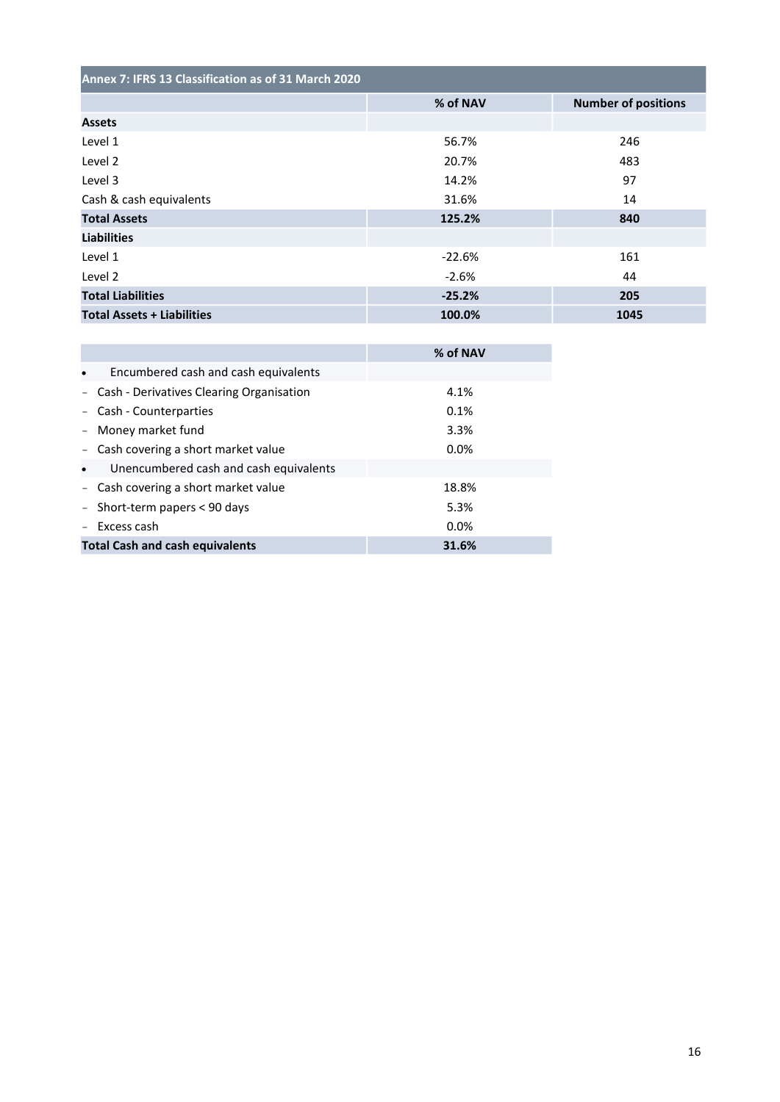| Annex 7: IFRS 13 Classification as of 31 March 2020 |          |                            |  |
|-----------------------------------------------------|----------|----------------------------|--|
|                                                     | % of NAV | <b>Number of positions</b> |  |
| <b>Assets</b>                                       |          |                            |  |
| Level 1                                             | 56.7%    | 246                        |  |
| Level 2                                             | 20.7%    | 483                        |  |
| Level 3                                             | 14.2%    | 97                         |  |
| Cash & cash equivalents                             | 31.6%    | 14                         |  |
| <b>Total Assets</b>                                 | 125.2%   | 840                        |  |
| <b>Liabilities</b>                                  |          |                            |  |
| Level 1                                             | $-22.6%$ | 161                        |  |
| Level 2                                             | $-2.6%$  | 44                         |  |
| <b>Total Liabilities</b>                            | $-25.2%$ | 205                        |  |
| <b>Total Assets + Liabilities</b>                   | 100.0%   | 1045                       |  |

|                                                     | % of NAV |
|-----------------------------------------------------|----------|
| Encumbered cash and cash equivalents<br>$\bullet$   |          |
| - Cash - Derivatives Clearing Organisation          | 4.1%     |
| - Cash - Counterparties                             | 0.1%     |
| - Money market fund                                 | 3.3%     |
| - Cash covering a short market value                | 0.0%     |
| Unencumbered cash and cash equivalents<br>$\bullet$ |          |
| - Cash covering a short market value                | 18.8%    |
| - Short-term papers < 90 days                       | 5.3%     |
| Excess cash                                         | 0.0%     |
| <b>Total Cash and cash equivalents</b>              | 31.6%    |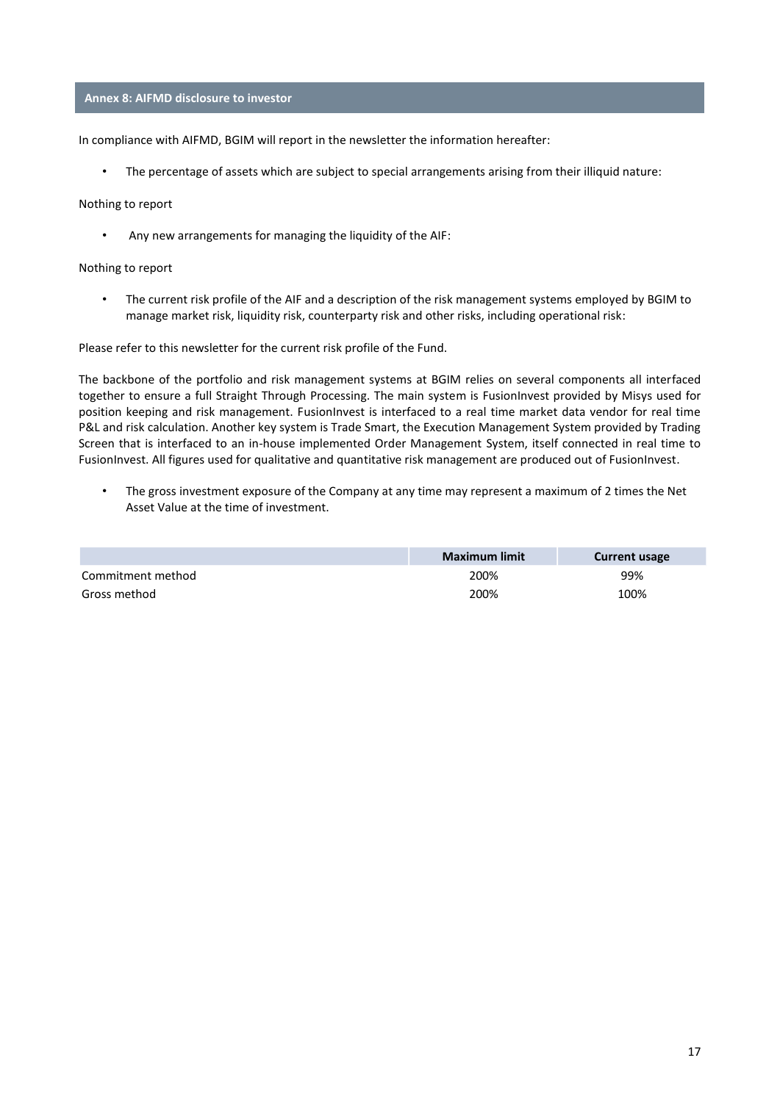#### **Annex 8: AIFMD disclosure to investor**

In compliance with AIFMD, BGIM will report in the newsletter the information hereafter:

• The percentage of assets which are subject to special arrangements arising from their illiquid nature:

#### Nothing to report

• Any new arrangements for managing the liquidity of the AIF:

#### Nothing to report

• The current risk profile of the AIF and a description of the risk management systems employed by BGIM to manage market risk, liquidity risk, counterparty risk and other risks, including operational risk:

Please refer to this newsletter for the current risk profile of the Fund.

The backbone of the portfolio and risk management systems at BGIM relies on several components all interfaced together to ensure a full Straight Through Processing. The main system is FusionInvest provided by Misys used for position keeping and risk management. FusionInvest is interfaced to a real time market data vendor for real time P&L and risk calculation. Another key system is Trade Smart, the Execution Management System provided by Trading Screen that is interfaced to an in-house implemented Order Management System, itself connected in real time to FusionInvest. All figures used for qualitative and quantitative risk management are produced out of FusionInvest.

• The gross investment exposure of the Company at any time may represent a maximum of 2 times the Net Asset Value at the time of investment.

|                   | Maximum limit | <b>Current usage</b> |
|-------------------|---------------|----------------------|
| Commitment method | 200%          | 99%                  |
| Gross method      | 200%          | 100%                 |